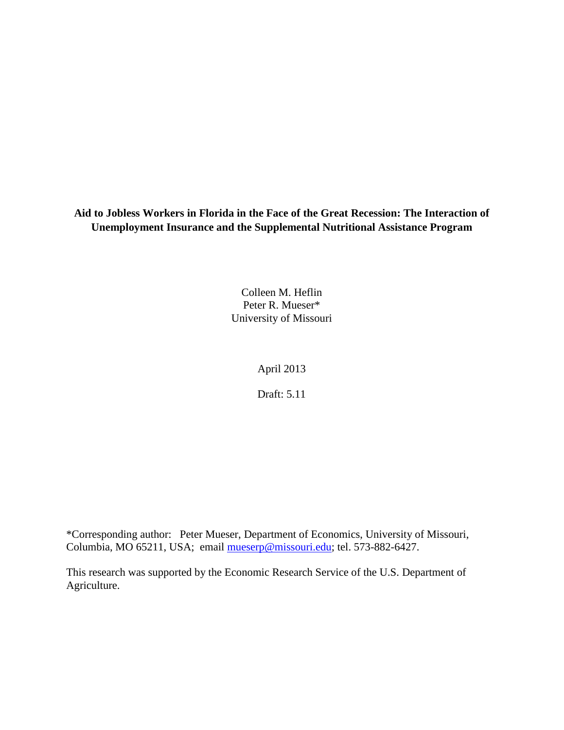**Aid to Jobless Workers in Florida in the Face of the Great Recession: The Interaction of Unemployment Insurance and the Supplemental Nutritional Assistance Program**

> Colleen M. Heflin Peter R. Mueser\* University of Missouri

> > April 2013

Draft: 5.11

\*Corresponding author: Peter Mueser, Department of Economics, University of Missouri, Columbia, MO 65211, USA; email [mueserp@missouri.edu;](mailto:mueserp@missouri.edu) tel. 573-882-6427.

<span id="page-0-0"></span>This research was supported by the Economic Research Service of the U.S. Department of Agriculture.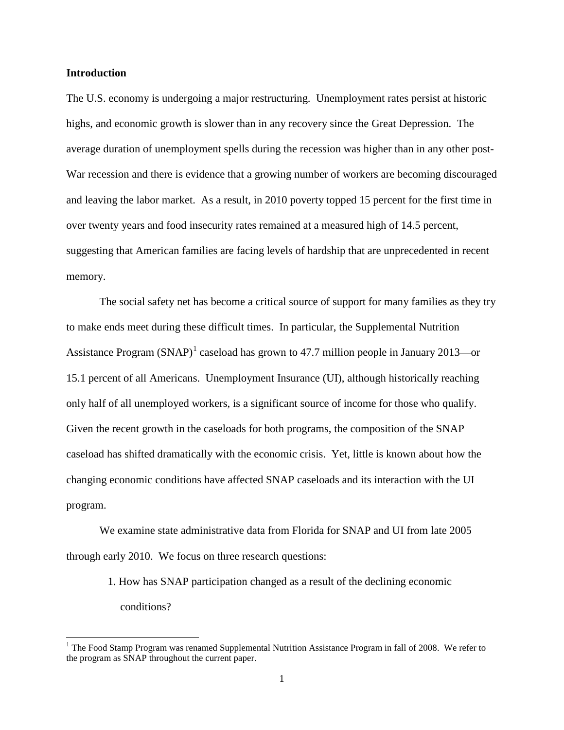### **Introduction**

The U.S. economy is undergoing a major restructuring. Unemployment rates persist at historic highs, and economic growth is slower than in any recovery since the Great Depression. The average duration of unemployment spells during the recession was higher than in any other post-War recession and there is evidence that a growing number of workers are becoming discouraged and leaving the labor market. As a result, in 2010 poverty topped 15 percent for the first time in over twenty years and food insecurity rates remained at a measured high of 14.5 percent, suggesting that American families are facing levels of hardship that are unprecedented in recent memory.

The social safety net has become a critical source of support for many families as they try to make ends meet during these difficult times. In particular, the Supplemental Nutrition Assistance Program (SNAP)<sup>[1](#page-0-0)</sup> caseload has grown to 47.7 million people in January 2013—or 15.1 percent of all Americans. Unemployment Insurance (UI), although historically reaching only half of all unemployed workers, is a significant source of income for those who qualify. Given the recent growth in the caseloads for both programs, the composition of the SNAP caseload has shifted dramatically with the economic crisis. Yet, little is known about how the changing economic conditions have affected SNAP caseloads and its interaction with the UI program.

We examine state administrative data from Florida for SNAP and UI from late 2005 through early 2010. We focus on three research questions:

> 1. How has SNAP participation changed as a result of the declining economic conditions?

<span id="page-1-0"></span><sup>&</sup>lt;sup>1</sup> The Food Stamp Program was renamed Supplemental Nutrition Assistance Program in fall of 2008. We refer to the program as SNAP throughout the current paper.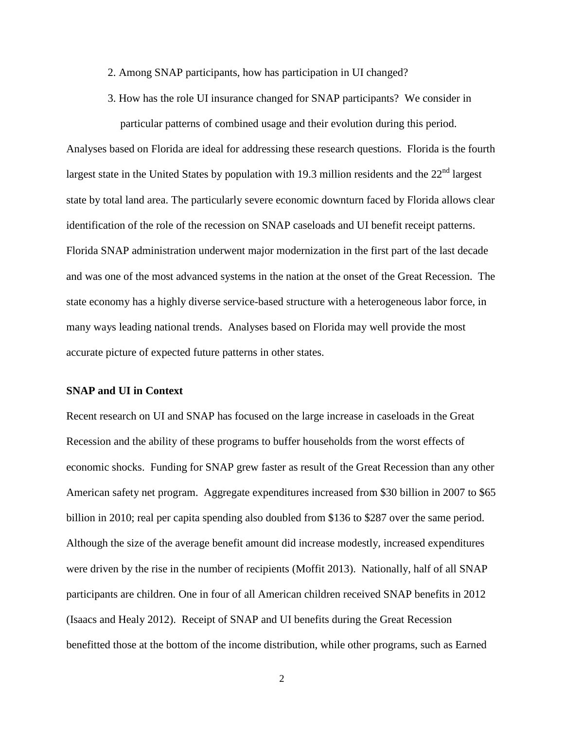2. Among SNAP participants, how has participation in UI changed?

3. How has the role UI insurance changed for SNAP participants? We consider in particular patterns of combined usage and their evolution during this period.

Analyses based on Florida are ideal for addressing these research questions. Florida is the fourth largest state in the United States by population with 19.3 million residents and the  $22<sup>nd</sup>$  largest state by total land area. The particularly severe economic downturn faced by Florida allows clear identification of the role of the recession on SNAP caseloads and UI benefit receipt patterns. Florida SNAP administration underwent major modernization in the first part of the last decade and was one of the most advanced systems in the nation at the onset of the Great Recession. The state economy has a highly diverse service-based structure with a heterogeneous labor force, in many ways leading national trends. Analyses based on Florida may well provide the most accurate picture of expected future patterns in other states.

## **SNAP and UI in Context**

Recent research on UI and SNAP has focused on the large increase in caseloads in the Great Recession and the ability of these programs to buffer households from the worst effects of economic shocks. Funding for SNAP grew faster as result of the Great Recession than any other American safety net program. Aggregate expenditures increased from \$30 billion in 2007 to \$65 billion in 2010; real per capita spending also doubled from \$136 to \$287 over the same period. Although the size of the average benefit amount did increase modestly, increased expenditures were driven by the rise in the number of recipients (Moffit 2013). Nationally, half of all SNAP participants are children. One in four of all American children received SNAP benefits in 2012 (Isaacs and Healy 2012). Receipt of SNAP and UI benefits during the Great Recession benefitted those at the bottom of the income distribution, while other programs, such as Earned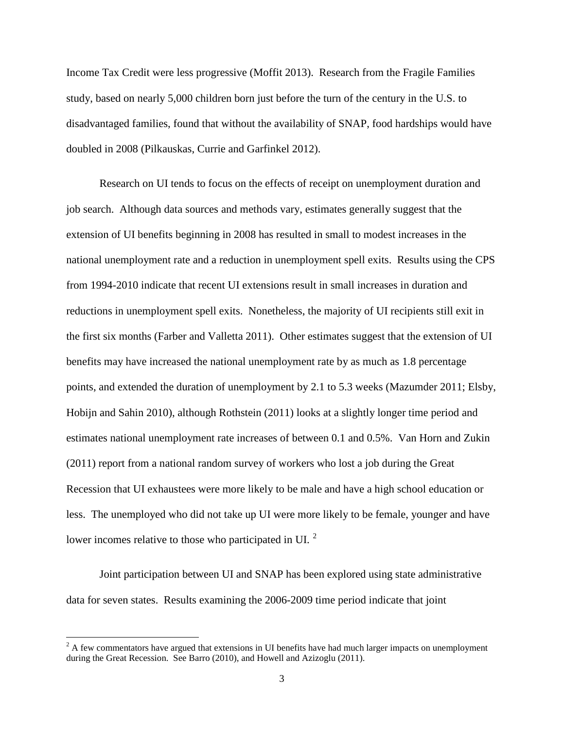Income Tax Credit were less progressive (Moffit 2013). Research from the Fragile Families study, based on nearly 5,000 children born just before the turn of the century in the U.S. to disadvantaged families, found that without the availability of SNAP, food hardships would have doubled in 2008 (Pilkauskas, Currie and Garfinkel 2012).

Research on UI tends to focus on the effects of receipt on unemployment duration and job search. Although data sources and methods vary, estimates generally suggest that the extension of UI benefits beginning in 2008 has resulted in small to modest increases in the national unemployment rate and a reduction in unemployment spell exits. Results using the CPS from 1994-2010 indicate that recent UI extensions result in small increases in duration and reductions in unemployment spell exits. Nonetheless, the majority of UI recipients still exit in the first six months (Farber and Valletta 2011). Other estimates suggest that the extension of UI benefits may have increased the national unemployment rate by as much as 1.8 percentage points, and extended the duration of unemployment by 2.1 to 5.3 weeks (Mazumder 2011; Elsby, Hobijn and Sahin 2010), although Rothstein (2011) looks at a slightly longer time period and estimates national unemployment rate increases of between 0.1 and 0.5%. Van Horn and Zukin (2011) report from a national random survey of workers who lost a job during the Great Recession that UI exhaustees were more likely to be male and have a high school education or less. The unemployed who did not take up UI were more likely to be female, younger and have lower incomes relative to those who participated in UI.<sup>[2](#page-1-0)</sup>

Joint participation between UI and SNAP has been explored using state administrative data for seven states. Results examining the 2006-2009 time period indicate that joint

<span id="page-3-0"></span> $2 A$  few commentators have argued that extensions in UI benefits have had much larger impacts on unemployment during the Great Recession. See Barro (2010), and Howell and Azizoglu (2011).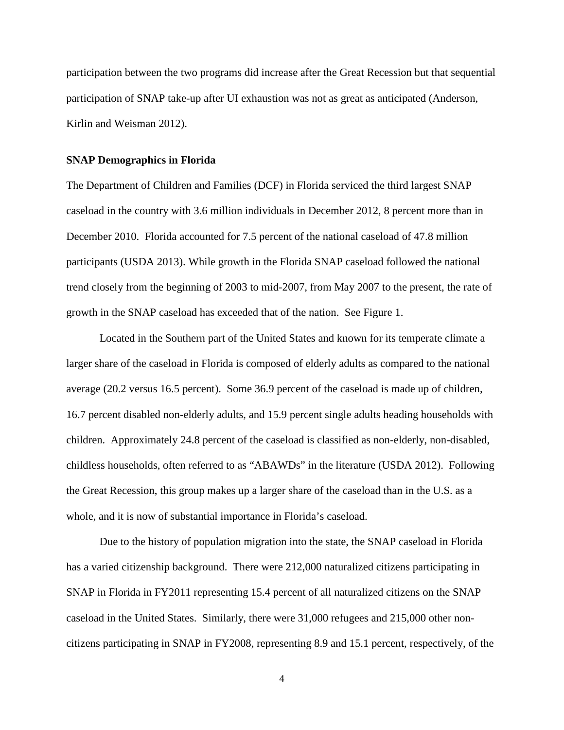participation between the two programs did increase after the Great Recession but that sequential participation of SNAP take-up after UI exhaustion was not as great as anticipated (Anderson, Kirlin and Weisman 2012).

### **SNAP Demographics in Florida**

The Department of Children and Families (DCF) in Florida serviced the third largest SNAP caseload in the country with 3.6 million individuals in December 2012, 8 percent more than in December 2010. Florida accounted for 7.5 percent of the national caseload of 47.8 million participants (USDA 2013). While growth in the Florida SNAP caseload followed the national trend closely from the beginning of 2003 to mid-2007, from May 2007 to the present, the rate of growth in the SNAP caseload has exceeded that of the nation. See Figure 1.

Located in the Southern part of the United States and known for its temperate climate a larger share of the caseload in Florida is composed of elderly adults as compared to the national average (20.2 versus 16.5 percent). Some 36.9 percent of the caseload is made up of children, 16.7 percent disabled non-elderly adults, and 15.9 percent single adults heading households with children. Approximately 24.8 percent of the caseload is classified as non-elderly, non-disabled, childless households, often referred to as "ABAWDs" in the literature (USDA 2012). Following the Great Recession, this group makes up a larger share of the caseload than in the U.S. as a whole, and it is now of substantial importance in Florida's caseload.

Due to the history of population migration into the state, the SNAP caseload in Florida has a varied citizenship background. There were 212,000 naturalized citizens participating in SNAP in Florida in FY2011 representing 15.4 percent of all naturalized citizens on the SNAP caseload in the United States. Similarly, there were 31,000 refugees and 215,000 other noncitizens participating in SNAP in FY2008, representing 8.9 and 15.1 percent, respectively, of the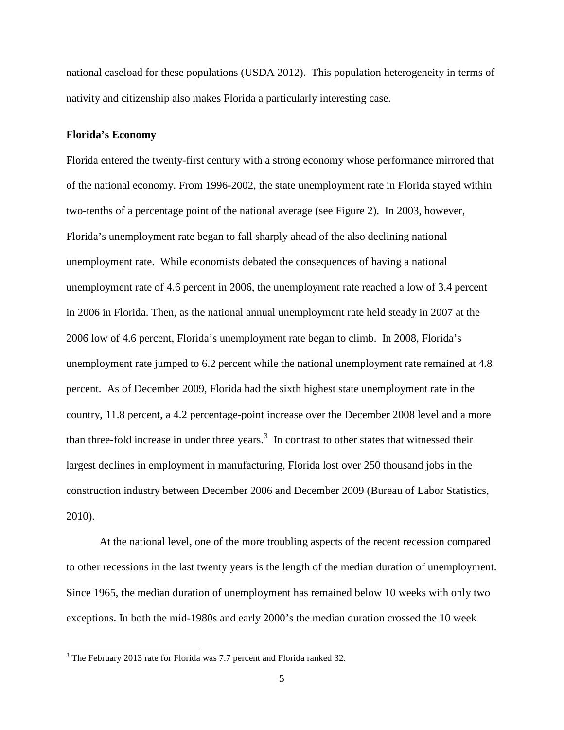national caseload for these populations (USDA 2012). This population heterogeneity in terms of nativity and citizenship also makes Florida a particularly interesting case.

### **Florida's Economy**

Florida entered the twenty-first century with a strong economy whose performance mirrored that of the national economy. From 1996-2002, the state unemployment rate in Florida stayed within two-tenths of a percentage point of the national average (see Figure 2). In 2003, however, Florida's unemployment rate began to fall sharply ahead of the also declining national unemployment rate. While economists debated the consequences of having a national unemployment rate of 4.6 percent in 2006, the unemployment rate reached a low of 3.4 percent in 2006 in Florida. Then, as the national annual unemployment rate held steady in 2007 at the 2006 low of 4.6 percent, Florida's unemployment rate began to climb. In 2008, Florida's unemployment rate jumped to 6.2 percent while the national unemployment rate remained at 4.8 percent. As of December 2009, Florida had the sixth highest state unemployment rate in the country, 11.8 percent, a 4.2 percentage-point increase over the December 2008 level and a more than three-fold increase in under three years. [3](#page-3-0) In contrast to other states that witnessed their largest declines in employment in manufacturing, Florida lost over 250 thousand jobs in the construction industry between December 2006 and December 2009 (Bureau of Labor Statistics, 2010).

At the national level, one of the more troubling aspects of the recent recession compared to other recessions in the last twenty years is the length of the median duration of unemployment. Since 1965, the median duration of unemployment has remained below 10 weeks with only two exceptions. In both the mid-1980s and early 2000's the median duration crossed the 10 week

<span id="page-5-0"></span><sup>&</sup>lt;sup>3</sup> The February 2013 rate for Florida was 7.7 percent and Florida ranked 32.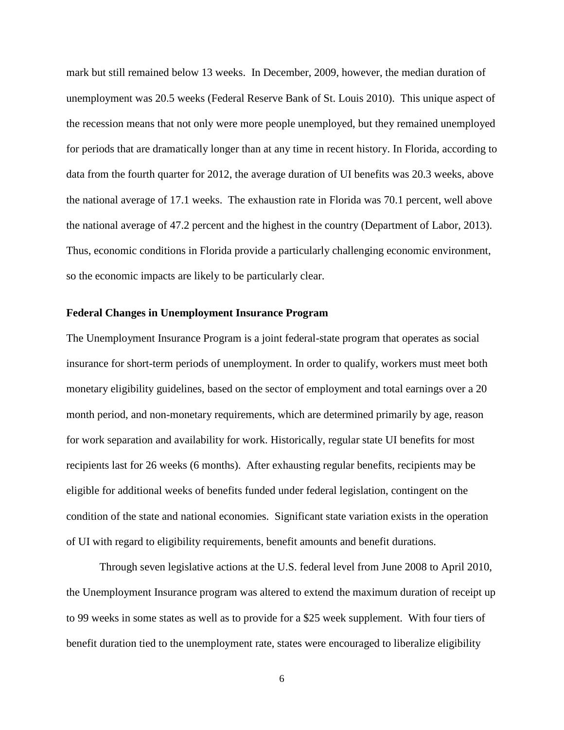mark but still remained below 13 weeks. In December, 2009, however, the median duration of unemployment was 20.5 weeks (Federal Reserve Bank of St. Louis 2010). This unique aspect of the recession means that not only were more people unemployed, but they remained unemployed for periods that are dramatically longer than at any time in recent history. In Florida, according to data from the fourth quarter for 2012, the average duration of UI benefits was 20.3 weeks, above the national average of 17.1 weeks. The exhaustion rate in Florida was 70.1 percent, well above the national average of 47.2 percent and the highest in the country (Department of Labor, 2013). Thus, economic conditions in Florida provide a particularly challenging economic environment, so the economic impacts are likely to be particularly clear.

### **Federal Changes in Unemployment Insurance Program**

The Unemployment Insurance Program is a joint federal-state program that operates as social insurance for short-term periods of unemployment. In order to qualify, workers must meet both monetary eligibility guidelines, based on the sector of employment and total earnings over a 20 month period, and non-monetary requirements, which are determined primarily by age, reason for work separation and availability for work. Historically, regular state UI benefits for most recipients last for 26 weeks (6 months). After exhausting regular benefits, recipients may be eligible for additional weeks of benefits funded under federal legislation, contingent on the condition of the state and national economies. Significant state variation exists in the operation of UI with regard to eligibility requirements, benefit amounts and benefit durations.

Through seven legislative actions at the U.S. federal level from June 2008 to April 2010, the Unemployment Insurance program was altered to extend the maximum duration of receipt up to 99 weeks in some states as well as to provide for a \$25 week supplement. With four tiers of benefit duration tied to the unemployment rate, states were encouraged to liberalize eligibility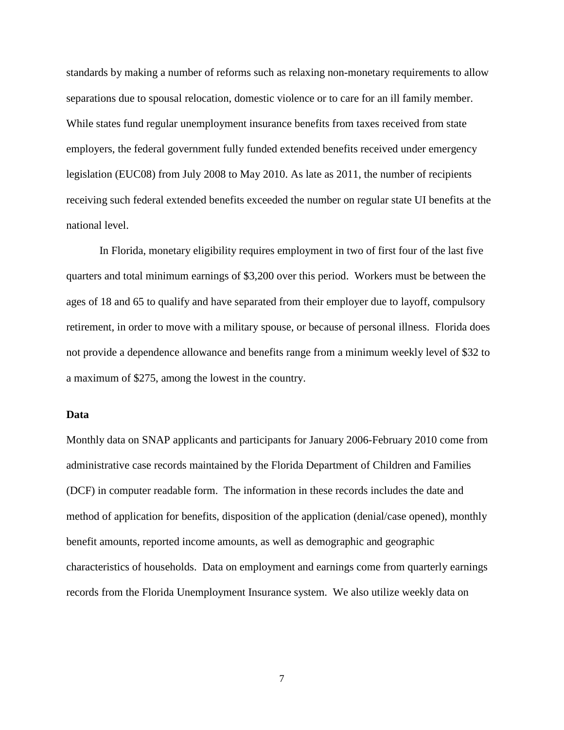standards by making a number of reforms such as relaxing non-monetary requirements to allow separations due to spousal relocation, domestic violence or to care for an ill family member. While states fund regular unemployment insurance benefits from taxes received from state employers, the federal government fully funded extended benefits received under emergency legislation (EUC08) from July 2008 to May 2010. As late as 2011, the number of recipients receiving such federal extended benefits exceeded the number on regular state UI benefits at the national level.

In Florida, monetary eligibility requires employment in two of first four of the last five quarters and total minimum earnings of \$3,200 over this period. Workers must be between the ages of 18 and 65 to qualify and have separated from their employer due to layoff, compulsory retirement, in order to move with a military spouse, or because of personal illness. Florida does not provide a dependence allowance and benefits range from a minimum weekly level of \$32 to a maximum of \$275, among the lowest in the country.

### **Data**

Monthly data on SNAP applicants and participants for January 2006-February 2010 come from administrative case records maintained by the Florida Department of Children and Families (DCF) in computer readable form. The information in these records includes the date and method of application for benefits, disposition of the application (denial/case opened), monthly benefit amounts, reported income amounts, as well as demographic and geographic characteristics of households. Data on employment and earnings come from quarterly earnings records from the Florida Unemployment Insurance system. We also utilize weekly data on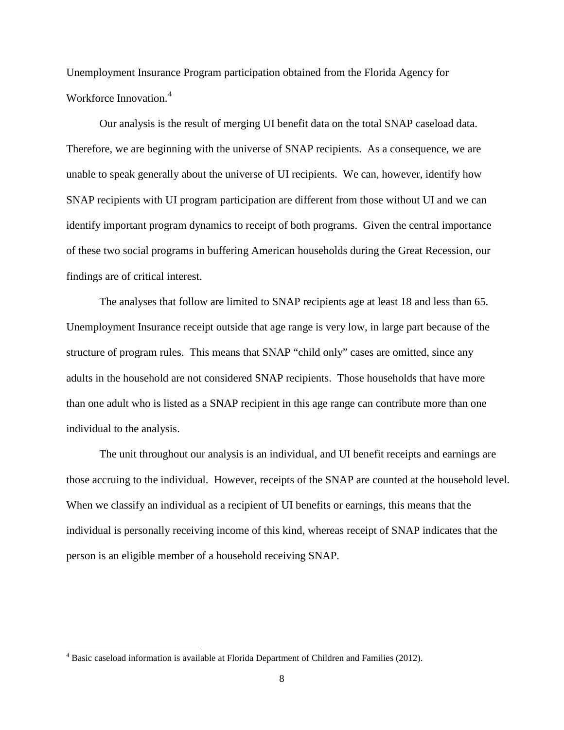Unemployment Insurance Program participation obtained from the Florida Agency for Workforce Innovation.<sup>[4](#page-5-0)</sup>

Our analysis is the result of merging UI benefit data on the total SNAP caseload data. Therefore, we are beginning with the universe of SNAP recipients. As a consequence, we are unable to speak generally about the universe of UI recipients. We can, however, identify how SNAP recipients with UI program participation are different from those without UI and we can identify important program dynamics to receipt of both programs. Given the central importance of these two social programs in buffering American households during the Great Recession, our findings are of critical interest.

The analyses that follow are limited to SNAP recipients age at least 18 and less than 65. Unemployment Insurance receipt outside that age range is very low, in large part because of the structure of program rules. This means that SNAP "child only" cases are omitted, since any adults in the household are not considered SNAP recipients. Those households that have more than one adult who is listed as a SNAP recipient in this age range can contribute more than one individual to the analysis.

The unit throughout our analysis is an individual, and UI benefit receipts and earnings are those accruing to the individual. However, receipts of the SNAP are counted at the household level. When we classify an individual as a recipient of UI benefits or earnings, this means that the individual is personally receiving income of this kind, whereas receipt of SNAP indicates that the person is an eligible member of a household receiving SNAP.

<span id="page-8-0"></span><sup>&</sup>lt;sup>4</sup> Basic caseload information is available at Florida Department of Children and Families (2012).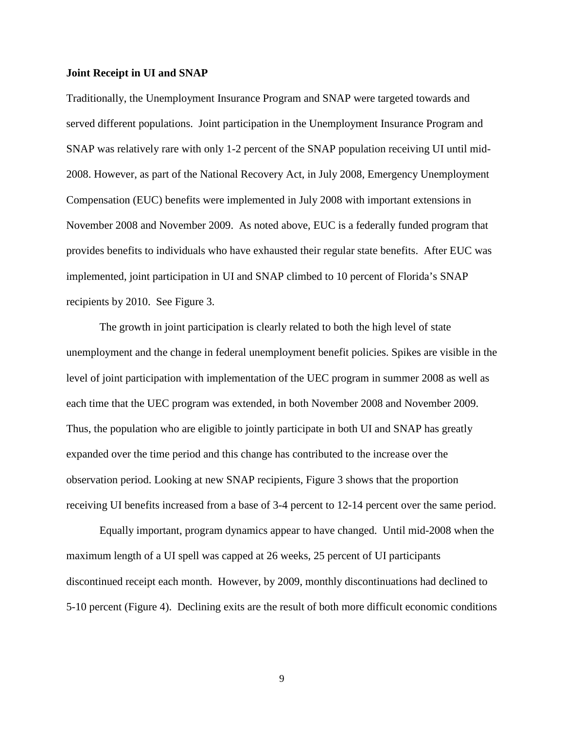### **Joint Receipt in UI and SNAP**

Traditionally, the Unemployment Insurance Program and SNAP were targeted towards and served different populations. Joint participation in the Unemployment Insurance Program and SNAP was relatively rare with only 1-2 percent of the SNAP population receiving UI until mid-2008. However, as part of the National Recovery Act, in July 2008, Emergency Unemployment Compensation (EUC) benefits were implemented in July 2008 with important extensions in November 2008 and November 2009. As noted above, EUC is a federally funded program that provides benefits to individuals who have exhausted their regular state benefits. After EUC was implemented, joint participation in UI and SNAP climbed to 10 percent of Florida's SNAP recipients by 2010. See Figure 3.

The growth in joint participation is clearly related to both the high level of state unemployment and the change in federal unemployment benefit policies. Spikes are visible in the level of joint participation with implementation of the UEC program in summer 2008 as well as each time that the UEC program was extended, in both November 2008 and November 2009. Thus, the population who are eligible to jointly participate in both UI and SNAP has greatly expanded over the time period and this change has contributed to the increase over the observation period. Looking at new SNAP recipients, Figure 3 shows that the proportion receiving UI benefits increased from a base of 3-4 percent to 12-14 percent over the same period.

Equally important, program dynamics appear to have changed. Until mid-2008 when the maximum length of a UI spell was capped at 26 weeks, 25 percent of UI participants discontinued receipt each month. However, by 2009, monthly discontinuations had declined to 5-10 percent (Figure 4). Declining exits are the result of both more difficult economic conditions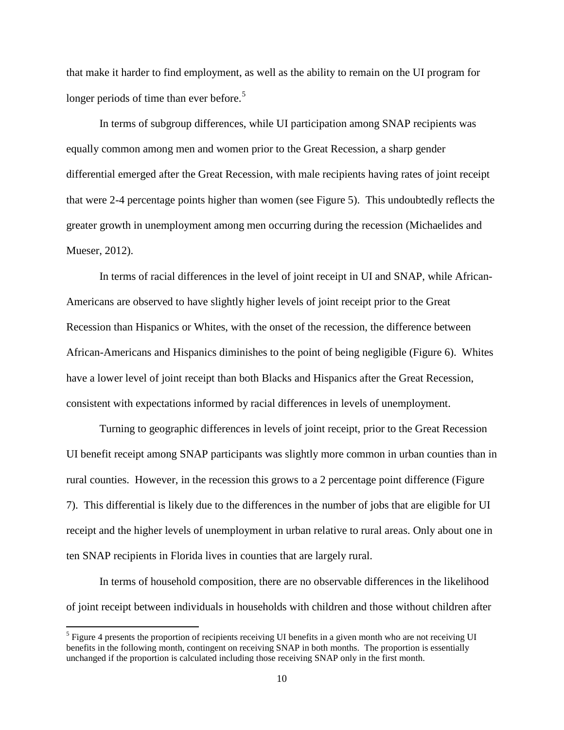that make it harder to find employment, as well as the ability to remain on the UI program for longer periods of time than ever before.<sup>[5](#page-8-0)</sup>

In terms of subgroup differences, while UI participation among SNAP recipients was equally common among men and women prior to the Great Recession, a sharp gender differential emerged after the Great Recession, with male recipients having rates of joint receipt that were 2-4 percentage points higher than women (see Figure 5). This undoubtedly reflects the greater growth in unemployment among men occurring during the recession (Michaelides and Mueser, 2012).

In terms of racial differences in the level of joint receipt in UI and SNAP, while African-Americans are observed to have slightly higher levels of joint receipt prior to the Great Recession than Hispanics or Whites, with the onset of the recession, the difference between African-Americans and Hispanics diminishes to the point of being negligible (Figure 6). Whites have a lower level of joint receipt than both Blacks and Hispanics after the Great Recession, consistent with expectations informed by racial differences in levels of unemployment.

Turning to geographic differences in levels of joint receipt, prior to the Great Recession UI benefit receipt among SNAP participants was slightly more common in urban counties than in rural counties. However, in the recession this grows to a 2 percentage point difference (Figure 7). This differential is likely due to the differences in the number of jobs that are eligible for UI receipt and the higher levels of unemployment in urban relative to rural areas. Only about one in ten SNAP recipients in Florida lives in counties that are largely rural.

In terms of household composition, there are no observable differences in the likelihood of joint receipt between individuals in households with children and those without children after

<span id="page-10-0"></span><sup>5</sup> Figure 4 presents the proportion of recipients receiving UI benefits in a given month who are not receiving UI benefits in the following month, contingent on receiving SNAP in both months. The proportion is essentially unchanged if the proportion is calculated including those receiving SNAP only in the first month.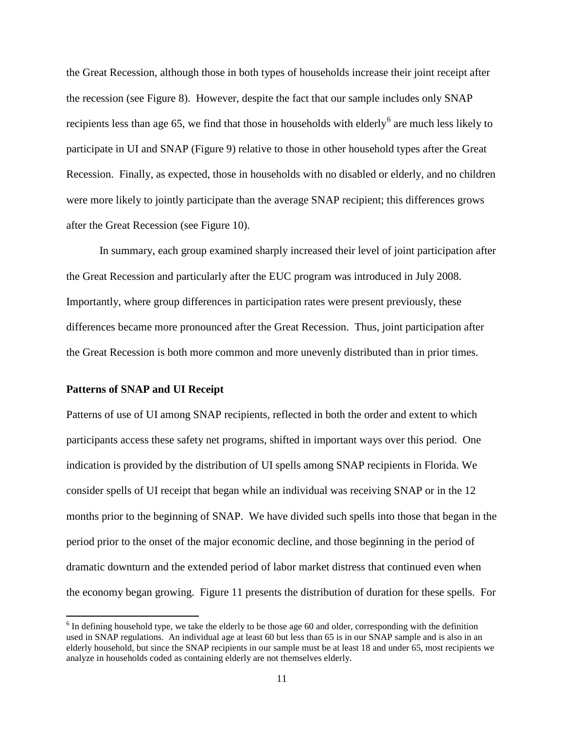the Great Recession, although those in both types of households increase their joint receipt after the recession (see Figure 8). However, despite the fact that our sample includes only SNAP recipients less than age [6](#page-10-0)5, we find that those in households with elderly<sup>6</sup> are much less likely to participate in UI and SNAP (Figure 9) relative to those in other household types after the Great Recession. Finally, as expected, those in households with no disabled or elderly, and no children were more likely to jointly participate than the average SNAP recipient; this differences grows after the Great Recession (see Figure 10).

In summary, each group examined sharply increased their level of joint participation after the Great Recession and particularly after the EUC program was introduced in July 2008. Importantly, where group differences in participation rates were present previously, these differences became more pronounced after the Great Recession. Thus, joint participation after the Great Recession is both more common and more unevenly distributed than in prior times.

### **Patterns of SNAP and UI Receipt**

Patterns of use of UI among SNAP recipients, reflected in both the order and extent to which participants access these safety net programs, shifted in important ways over this period. One indication is provided by the distribution of UI spells among SNAP recipients in Florida. We consider spells of UI receipt that began while an individual was receiving SNAP or in the 12 months prior to the beginning of SNAP. We have divided such spells into those that began in the period prior to the onset of the major economic decline, and those beginning in the period of dramatic downturn and the extended period of labor market distress that continued even when the economy began growing. Figure 11 presents the distribution of duration for these spells. For

<span id="page-11-0"></span> $6$  In defining household type, we take the elderly to be those age 60 and older, corresponding with the definition used in SNAP regulations. An individual age at least 60 but less than 65 is in our SNAP sample and is also in an elderly household, but since the SNAP recipients in our sample must be at least 18 and under 65, most recipients we analyze in households coded as containing elderly are not themselves elderly.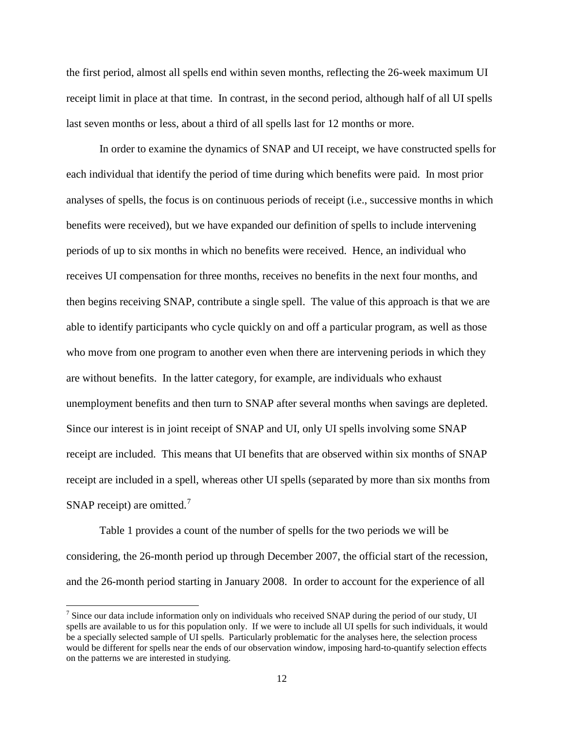the first period, almost all spells end within seven months, reflecting the 26-week maximum UI receipt limit in place at that time. In contrast, in the second period, although half of all UI spells last seven months or less, about a third of all spells last for 12 months or more.

In order to examine the dynamics of SNAP and UI receipt, we have constructed spells for each individual that identify the period of time during which benefits were paid. In most prior analyses of spells, the focus is on continuous periods of receipt (i.e., successive months in which benefits were received), but we have expanded our definition of spells to include intervening periods of up to six months in which no benefits were received. Hence, an individual who receives UI compensation for three months, receives no benefits in the next four months, and then begins receiving SNAP, contribute a single spell. The value of this approach is that we are able to identify participants who cycle quickly on and off a particular program, as well as those who move from one program to another even when there are intervening periods in which they are without benefits. In the latter category, for example, are individuals who exhaust unemployment benefits and then turn to SNAP after several months when savings are depleted. Since our interest is in joint receipt of SNAP and UI, only UI spells involving some SNAP receipt are included. This means that UI benefits that are observed within six months of SNAP receipt are included in a spell, whereas other UI spells (separated by more than six months from SNAP receipt) are omitted.<sup>[7](#page-11-0)</sup>

Table 1 provides a count of the number of spells for the two periods we will be considering, the 26-month period up through December 2007, the official start of the recession, and the 26-month period starting in January 2008. In order to account for the experience of all

<span id="page-12-0"></span><sup>&</sup>lt;sup>7</sup> Since our data include information only on individuals who received SNAP during the period of our study, UI spells are available to us for this population only. If we were to include all UI spells for such individuals, it would be a specially selected sample of UI spells. Particularly problematic for the analyses here, the selection process would be different for spells near the ends of our observation window, imposing hard-to-quantify selection effects on the patterns we are interested in studying.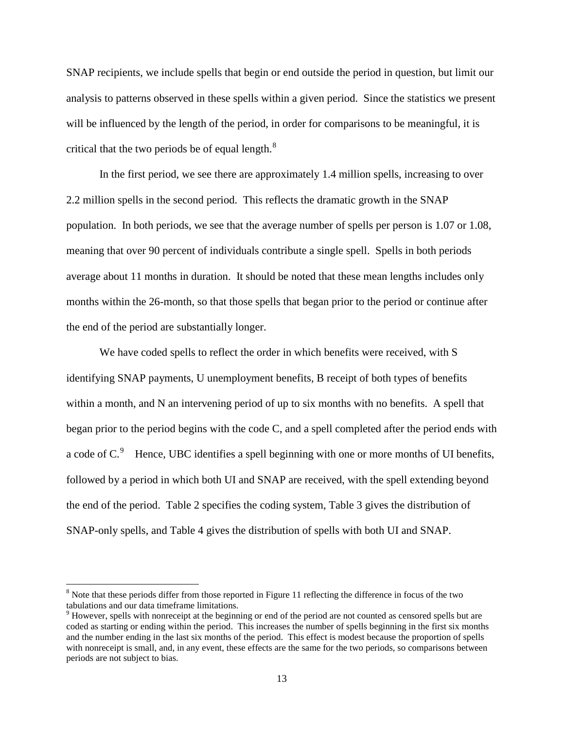SNAP recipients, we include spells that begin or end outside the period in question, but limit our analysis to patterns observed in these spells within a given period. Since the statistics we present will be influenced by the length of the period, in order for comparisons to be meaningful, it is critical that the two periods be of equal length. $8$ 

In the first period, we see there are approximately 1.4 million spells, increasing to over 2.2 million spells in the second period. This reflects the dramatic growth in the SNAP population. In both periods, we see that the average number of spells per person is 1.07 or 1.08, meaning that over 90 percent of individuals contribute a single spell. Spells in both periods average about 11 months in duration. It should be noted that these mean lengths includes only months within the 26-month, so that those spells that began prior to the period or continue after the end of the period are substantially longer.

We have coded spells to reflect the order in which benefits were received, with S identifying SNAP payments, U unemployment benefits, B receipt of both types of benefits within a month, and N an intervening period of up to six months with no benefits. A spell that began prior to the period begins with the code C, and a spell completed after the period ends with a code of  $C<sup>9</sup>$  $C<sup>9</sup>$  $C<sup>9</sup>$  Hence, UBC identifies a spell beginning with one or more months of UI benefits, followed by a period in which both UI and SNAP are received, with the spell extending beyond the end of the period. Table 2 specifies the coding system, Table 3 gives the distribution of SNAP-only spells, and Table 4 gives the distribution of spells with both UI and SNAP.

<sup>&</sup>lt;sup>8</sup> Note that these periods differ from those reported in Figure 11 reflecting the difference in focus of the two tabulations and our data timeframe limitations.

<span id="page-13-1"></span><span id="page-13-0"></span><sup>9</sup> However, spells with nonreceipt at the beginning or end of the period are not counted as censored spells but are coded as starting or ending within the period. This increases the number of spells beginning in the first six months and the number ending in the last six months of the period. This effect is modest because the proportion of spells with nonreceipt is small, and, in any event, these effects are the same for the two periods, so comparisons between periods are not subject to bias.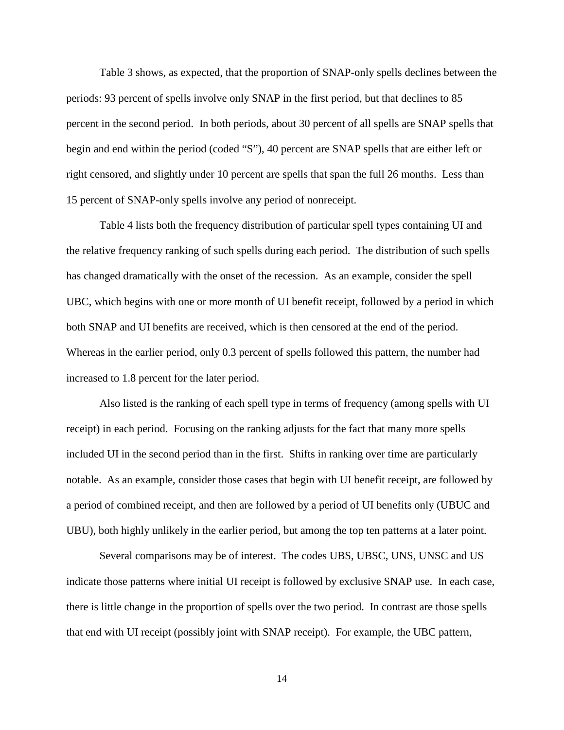Table 3 shows, as expected, that the proportion of SNAP-only spells declines between the periods: 93 percent of spells involve only SNAP in the first period, but that declines to 85 percent in the second period. In both periods, about 30 percent of all spells are SNAP spells that begin and end within the period (coded "S"), 40 percent are SNAP spells that are either left or right censored, and slightly under 10 percent are spells that span the full 26 months. Less than 15 percent of SNAP-only spells involve any period of nonreceipt.

Table 4 lists both the frequency distribution of particular spell types containing UI and the relative frequency ranking of such spells during each period. The distribution of such spells has changed dramatically with the onset of the recession. As an example, consider the spell UBC, which begins with one or more month of UI benefit receipt, followed by a period in which both SNAP and UI benefits are received, which is then censored at the end of the period. Whereas in the earlier period, only 0.3 percent of spells followed this pattern, the number had increased to 1.8 percent for the later period.

Also listed is the ranking of each spell type in terms of frequency (among spells with UI receipt) in each period. Focusing on the ranking adjusts for the fact that many more spells included UI in the second period than in the first. Shifts in ranking over time are particularly notable. As an example, consider those cases that begin with UI benefit receipt, are followed by a period of combined receipt, and then are followed by a period of UI benefits only (UBUC and UBU), both highly unlikely in the earlier period, but among the top ten patterns at a later point.

Several comparisons may be of interest. The codes UBS, UBSC, UNS, UNSC and US indicate those patterns where initial UI receipt is followed by exclusive SNAP use. In each case, there is little change in the proportion of spells over the two period. In contrast are those spells that end with UI receipt (possibly joint with SNAP receipt). For example, the UBC pattern,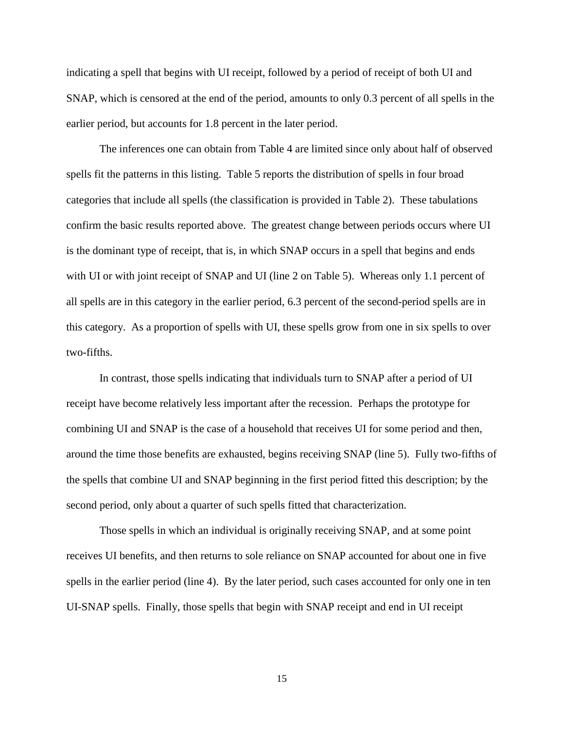indicating a spell that begins with UI receipt, followed by a period of receipt of both UI and SNAP, which is censored at the end of the period, amounts to only 0.3 percent of all spells in the earlier period, but accounts for 1.8 percent in the later period.

The inferences one can obtain from Table 4 are limited since only about half of observed spells fit the patterns in this listing. Table 5 reports the distribution of spells in four broad categories that include all spells (the classification is provided in Table 2). These tabulations confirm the basic results reported above. The greatest change between periods occurs where UI is the dominant type of receipt, that is, in which SNAP occurs in a spell that begins and ends with UI or with joint receipt of SNAP and UI (line 2 on Table 5). Whereas only 1.1 percent of all spells are in this category in the earlier period, 6.3 percent of the second-period spells are in this category. As a proportion of spells with UI, these spells grow from one in six spells to over two-fifths.

In contrast, those spells indicating that individuals turn to SNAP after a period of UI receipt have become relatively less important after the recession. Perhaps the prototype for combining UI and SNAP is the case of a household that receives UI for some period and then, around the time those benefits are exhausted, begins receiving SNAP (line 5). Fully two-fifths of the spells that combine UI and SNAP beginning in the first period fitted this description; by the second period, only about a quarter of such spells fitted that characterization.

Those spells in which an individual is originally receiving SNAP, and at some point receives UI benefits, and then returns to sole reliance on SNAP accounted for about one in five spells in the earlier period (line 4). By the later period, such cases accounted for only one in ten UI-SNAP spells. Finally, those spells that begin with SNAP receipt and end in UI receipt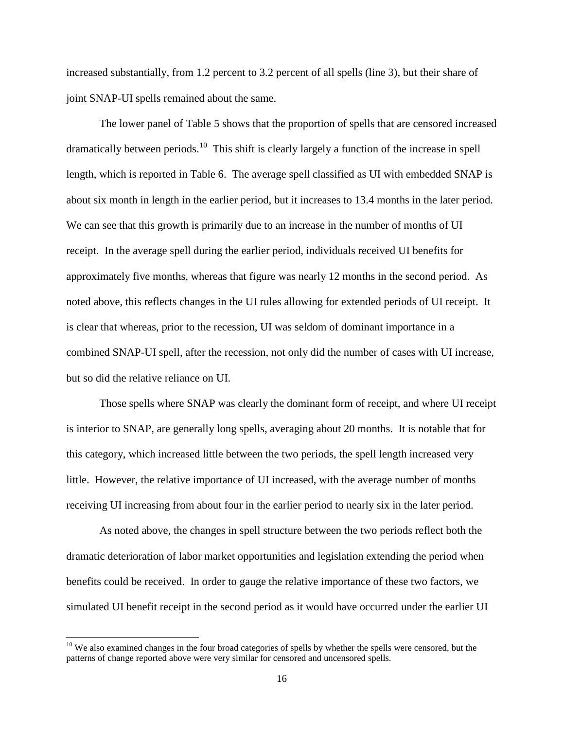increased substantially, from 1.2 percent to 3.2 percent of all spells (line 3), but their share of joint SNAP-UI spells remained about the same.

The lower panel of Table 5 shows that the proportion of spells that are censored increased dramatically between periods.<sup>[10](#page-13-1)</sup> This shift is clearly largely a function of the increase in spell length, which is reported in Table 6. The average spell classified as UI with embedded SNAP is about six month in length in the earlier period, but it increases to 13.4 months in the later period. We can see that this growth is primarily due to an increase in the number of months of UI receipt. In the average spell during the earlier period, individuals received UI benefits for approximately five months, whereas that figure was nearly 12 months in the second period. As noted above, this reflects changes in the UI rules allowing for extended periods of UI receipt. It is clear that whereas, prior to the recession, UI was seldom of dominant importance in a combined SNAP-UI spell, after the recession, not only did the number of cases with UI increase, but so did the relative reliance on UI.

Those spells where SNAP was clearly the dominant form of receipt, and where UI receipt is interior to SNAP, are generally long spells, averaging about 20 months. It is notable that for this category, which increased little between the two periods, the spell length increased very little. However, the relative importance of UI increased, with the average number of months receiving UI increasing from about four in the earlier period to nearly six in the later period.

<span id="page-16-0"></span>As noted above, the changes in spell structure between the two periods reflect both the dramatic deterioration of labor market opportunities and legislation extending the period when benefits could be received. In order to gauge the relative importance of these two factors, we simulated UI benefit receipt in the second period as it would have occurred under the earlier UI

 $10$  We also examined changes in the four broad categories of spells by whether the spells were censored, but the patterns of change reported above were very similar for censored and uncensored spells.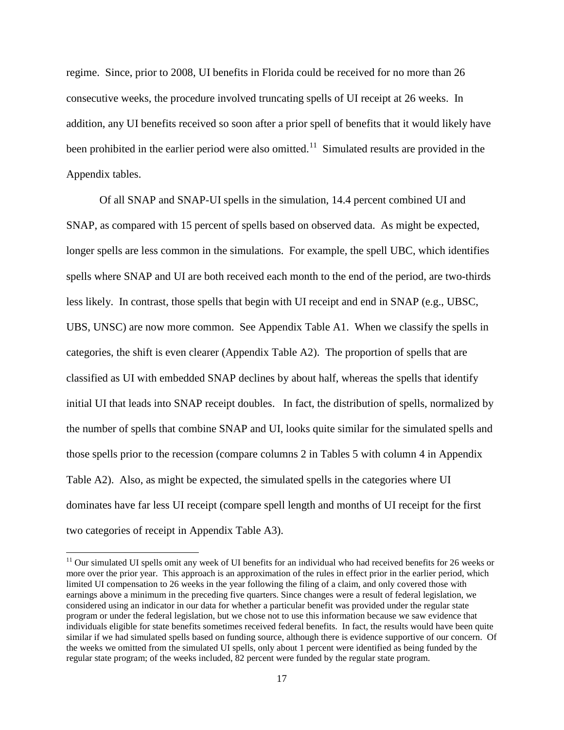regime. Since, prior to 2008, UI benefits in Florida could be received for no more than 26 consecutive weeks, the procedure involved truncating spells of UI receipt at 26 weeks. In addition, any UI benefits received so soon after a prior spell of benefits that it would likely have been prohibited in the earlier period were also omitted.<sup>[11](#page-16-0)</sup> Simulated results are provided in the Appendix tables.

Of all SNAP and SNAP-UI spells in the simulation, 14.4 percent combined UI and SNAP, as compared with 15 percent of spells based on observed data. As might be expected, longer spells are less common in the simulations. For example, the spell UBC, which identifies spells where SNAP and UI are both received each month to the end of the period, are two-thirds less likely. In contrast, those spells that begin with UI receipt and end in SNAP (e.g., UBSC, UBS, UNSC) are now more common. See Appendix Table A1. When we classify the spells in categories, the shift is even clearer (Appendix Table A2). The proportion of spells that are classified as UI with embedded SNAP declines by about half, whereas the spells that identify initial UI that leads into SNAP receipt doubles. In fact, the distribution of spells, normalized by the number of spells that combine SNAP and UI, looks quite similar for the simulated spells and those spells prior to the recession (compare columns 2 in Tables 5 with column 4 in Appendix Table A2). Also, as might be expected, the simulated spells in the categories where UI dominates have far less UI receipt (compare spell length and months of UI receipt for the first two categories of receipt in Appendix Table A3).

<span id="page-17-0"></span> $11$  Our simulated UI spells omit any week of UI benefits for an individual who had received benefits for 26 weeks or more over the prior year. This approach is an approximation of the rules in effect prior in the earlier period, which limited UI compensation to 26 weeks in the year following the filing of a claim, and only covered those with earnings above a minimum in the preceding five quarters. Since changes were a result of federal legislation, we considered using an indicator in our data for whether a particular benefit was provided under the regular state program or under the federal legislation, but we chose not to use this information because we saw evidence that individuals eligible for state benefits sometimes received federal benefits. In fact, the results would have been quite similar if we had simulated spells based on funding source, although there is evidence supportive of our concern. Of the weeks we omitted from the simulated UI spells, only about 1 percent were identified as being funded by the regular state program; of the weeks included, 82 percent were funded by the regular state program.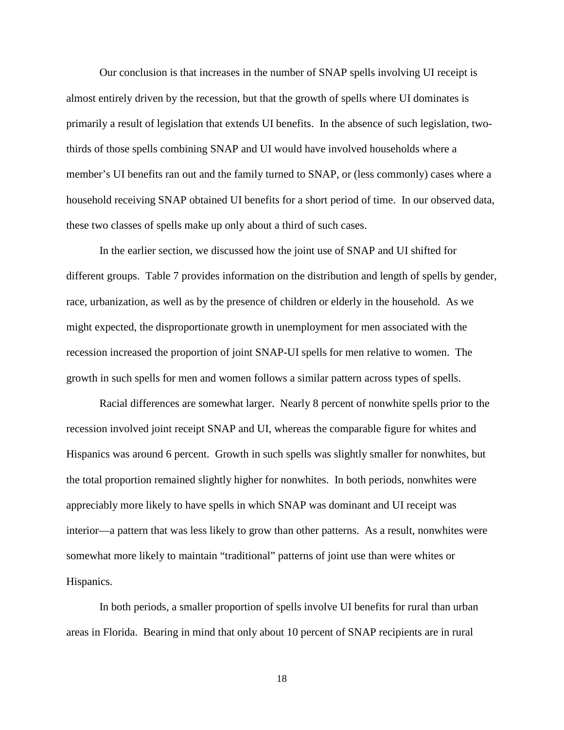Our conclusion is that increases in the number of SNAP spells involving UI receipt is almost entirely driven by the recession, but that the growth of spells where UI dominates is primarily a result of legislation that extends UI benefits. In the absence of such legislation, twothirds of those spells combining SNAP and UI would have involved households where a member's UI benefits ran out and the family turned to SNAP, or (less commonly) cases where a household receiving SNAP obtained UI benefits for a short period of time. In our observed data, these two classes of spells make up only about a third of such cases.

In the earlier section, we discussed how the joint use of SNAP and UI shifted for different groups. Table 7 provides information on the distribution and length of spells by gender, race, urbanization, as well as by the presence of children or elderly in the household. As we might expected, the disproportionate growth in unemployment for men associated with the recession increased the proportion of joint SNAP-UI spells for men relative to women. The growth in such spells for men and women follows a similar pattern across types of spells.

Racial differences are somewhat larger. Nearly 8 percent of nonwhite spells prior to the recession involved joint receipt SNAP and UI, whereas the comparable figure for whites and Hispanics was around 6 percent. Growth in such spells was slightly smaller for nonwhites, but the total proportion remained slightly higher for nonwhites. In both periods, nonwhites were appreciably more likely to have spells in which SNAP was dominant and UI receipt was interior—a pattern that was less likely to grow than other patterns. As a result, nonwhites were somewhat more likely to maintain "traditional" patterns of joint use than were whites or Hispanics.

In both periods, a smaller proportion of spells involve UI benefits for rural than urban areas in Florida. Bearing in mind that only about 10 percent of SNAP recipients are in rural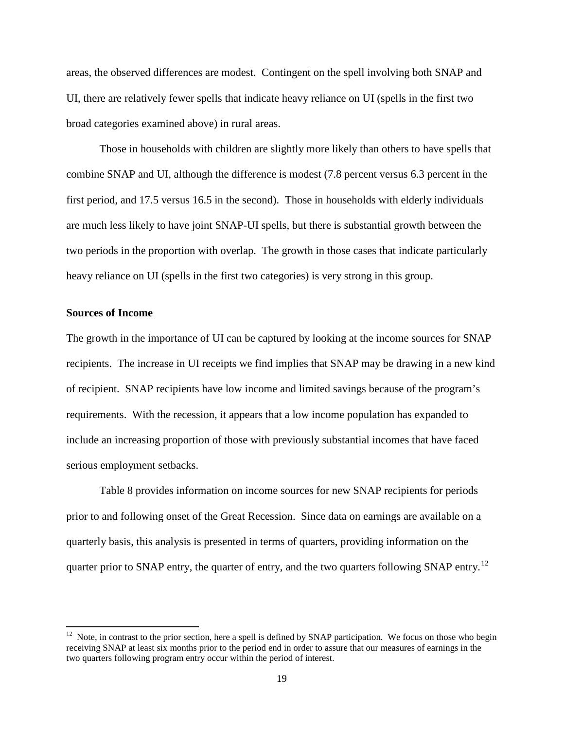areas, the observed differences are modest. Contingent on the spell involving both SNAP and UI, there are relatively fewer spells that indicate heavy reliance on UI (spells in the first two broad categories examined above) in rural areas.

Those in households with children are slightly more likely than others to have spells that combine SNAP and UI, although the difference is modest (7.8 percent versus 6.3 percent in the first period, and 17.5 versus 16.5 in the second). Those in households with elderly individuals are much less likely to have joint SNAP-UI spells, but there is substantial growth between the two periods in the proportion with overlap. The growth in those cases that indicate particularly heavy reliance on UI (spells in the first two categories) is very strong in this group.

### **Sources of Income**

The growth in the importance of UI can be captured by looking at the income sources for SNAP recipients. The increase in UI receipts we find implies that SNAP may be drawing in a new kind of recipient. SNAP recipients have low income and limited savings because of the program's requirements. With the recession, it appears that a low income population has expanded to include an increasing proportion of those with previously substantial incomes that have faced serious employment setbacks.

Table 8 provides information on income sources for new SNAP recipients for periods prior to and following onset of the Great Recession. Since data on earnings are available on a quarterly basis, this analysis is presented in terms of quarters, providing information on the quarter prior to SNAP entry, the quarter of entry, and the two quarters following SNAP entry.<sup>12</sup>

 $12$  Note, in contrast to the prior section, here a spell is defined by SNAP participation. We focus on those who begin receiving SNAP at least six months prior to the period end in order to assure that our measures of earnings in the two quarters following program entry occur within the period of interest.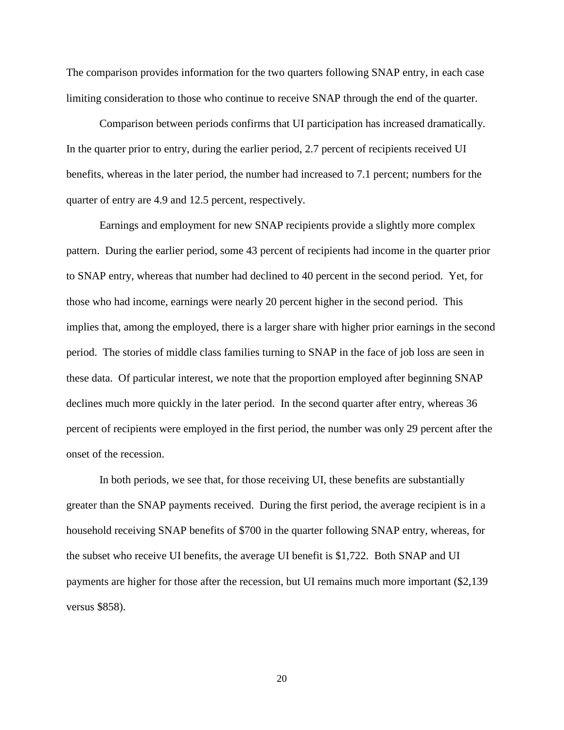The comparison provides information for the two quarters following SNAP entry, in each case limiting consideration to those who continue to receive SNAP through the end of the quarter.

Comparison between periods confirms that UI participation has increased dramatically. In the quarter prior to entry, during the earlier period, 2.7 percent of recipients received UI benefits, whereas in the later period, the number had increased to 7.1 percent; numbers for the quarter of entry are 4.9 and 12.5 percent, respectively.

Earnings and employment for new SNAP recipients provide a slightly more complex pattern. During the earlier period, some 43 percent of recipients had income in the quarter prior to SNAP entry, whereas that number had declined to 40 percent in the second period. Yet, for those who had income, earnings were nearly 20 percent higher in the second period. This implies that, among the employed, there is a larger share with higher prior earnings in the second period. The stories of middle class families turning to SNAP in the face of job loss are seen in these data. Of particular interest, we note that the proportion employed after beginning SNAP declines much more quickly in the later period. In the second quarter after entry, whereas 36 percent of recipients were employed in the first period, the number was only 29 percent after the onset of the recession.

In both periods, we see that, for those receiving UI, these benefits are substantially greater than the SNAP payments received. During the first period, the average recipient is in a household receiving SNAP benefits of \$700 in the quarter following SNAP entry, whereas, for the subset who receive UI benefits, the average UI benefit is \$1,722. Both SNAP and UI payments are higher for those after the recession, but UI remains much more important (\$2,139 versus \$858).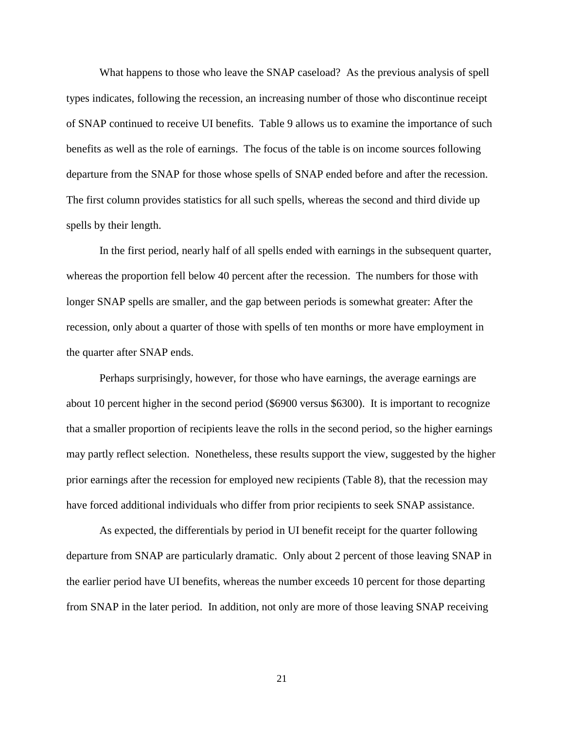What happens to those who leave the SNAP caseload? As the previous analysis of spell types indicates, following the recession, an increasing number of those who discontinue receipt of SNAP continued to receive UI benefits. Table 9 allows us to examine the importance of such benefits as well as the role of earnings. The focus of the table is on income sources following departure from the SNAP for those whose spells of SNAP ended before and after the recession. The first column provides statistics for all such spells, whereas the second and third divide up spells by their length.

In the first period, nearly half of all spells ended with earnings in the subsequent quarter, whereas the proportion fell below 40 percent after the recession. The numbers for those with longer SNAP spells are smaller, and the gap between periods is somewhat greater: After the recession, only about a quarter of those with spells of ten months or more have employment in the quarter after SNAP ends.

Perhaps surprisingly, however, for those who have earnings, the average earnings are about 10 percent higher in the second period (\$6900 versus \$6300). It is important to recognize that a smaller proportion of recipients leave the rolls in the second period, so the higher earnings may partly reflect selection. Nonetheless, these results support the view, suggested by the higher prior earnings after the recession for employed new recipients (Table 8), that the recession may have forced additional individuals who differ from prior recipients to seek SNAP assistance.

As expected, the differentials by period in UI benefit receipt for the quarter following departure from SNAP are particularly dramatic. Only about 2 percent of those leaving SNAP in the earlier period have UI benefits, whereas the number exceeds 10 percent for those departing from SNAP in the later period. In addition, not only are more of those leaving SNAP receiving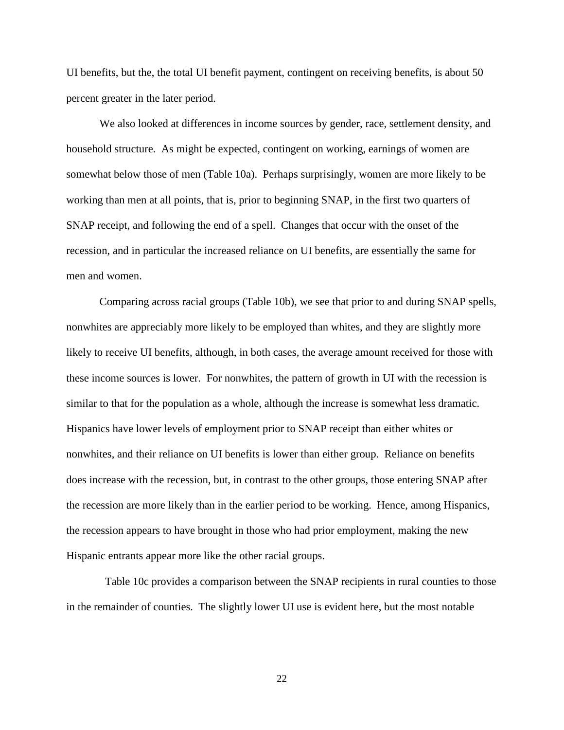UI benefits, but the, the total UI benefit payment, contingent on receiving benefits, is about 50 percent greater in the later period.

We also looked at differences in income sources by gender, race, settlement density, and household structure. As might be expected, contingent on working, earnings of women are somewhat below those of men (Table 10a). Perhaps surprisingly, women are more likely to be working than men at all points, that is, prior to beginning SNAP, in the first two quarters of SNAP receipt, and following the end of a spell. Changes that occur with the onset of the recession, and in particular the increased reliance on UI benefits, are essentially the same for men and women.

Comparing across racial groups (Table 10b), we see that prior to and during SNAP spells, nonwhites are appreciably more likely to be employed than whites, and they are slightly more likely to receive UI benefits, although, in both cases, the average amount received for those with these income sources is lower. For nonwhites, the pattern of growth in UI with the recession is similar to that for the population as a whole, although the increase is somewhat less dramatic. Hispanics have lower levels of employment prior to SNAP receipt than either whites or nonwhites, and their reliance on UI benefits is lower than either group. Reliance on benefits does increase with the recession, but, in contrast to the other groups, those entering SNAP after the recession are more likely than in the earlier period to be working. Hence, among Hispanics, the recession appears to have brought in those who had prior employment, making the new Hispanic entrants appear more like the other racial groups.

 Table 10c provides a comparison between the SNAP recipients in rural counties to those in the remainder of counties. The slightly lower UI use is evident here, but the most notable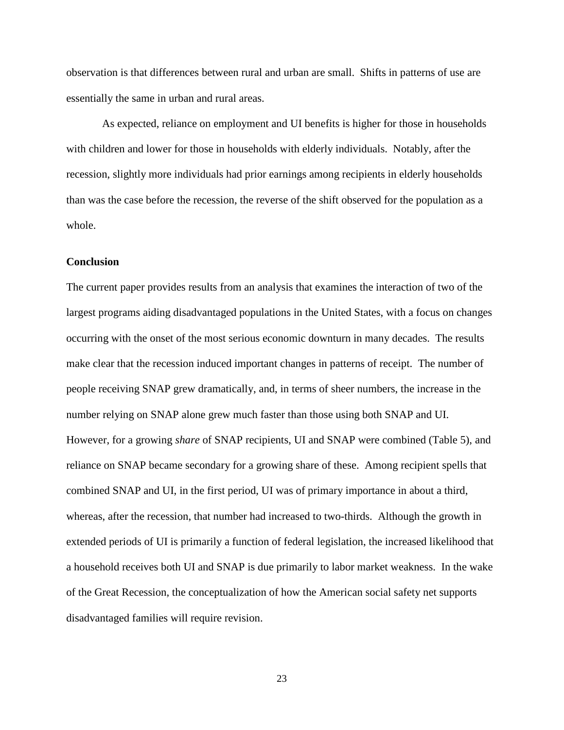observation is that differences between rural and urban are small. Shifts in patterns of use are essentially the same in urban and rural areas.

As expected, reliance on employment and UI benefits is higher for those in households with children and lower for those in households with elderly individuals. Notably, after the recession, slightly more individuals had prior earnings among recipients in elderly households than was the case before the recession, the reverse of the shift observed for the population as a whole.

### **Conclusion**

The current paper provides results from an analysis that examines the interaction of two of the largest programs aiding disadvantaged populations in the United States, with a focus on changes occurring with the onset of the most serious economic downturn in many decades. The results make clear that the recession induced important changes in patterns of receipt. The number of people receiving SNAP grew dramatically, and, in terms of sheer numbers, the increase in the number relying on SNAP alone grew much faster than those using both SNAP and UI. However, for a growing *share* of SNAP recipients, UI and SNAP were combined (Table 5), and reliance on SNAP became secondary for a growing share of these. Among recipient spells that combined SNAP and UI, in the first period, UI was of primary importance in about a third, whereas, after the recession, that number had increased to two-thirds. Although the growth in extended periods of UI is primarily a function of federal legislation, the increased likelihood that a household receives both UI and SNAP is due primarily to labor market weakness. In the wake of the Great Recession, the conceptualization of how the American social safety net supports disadvantaged families will require revision.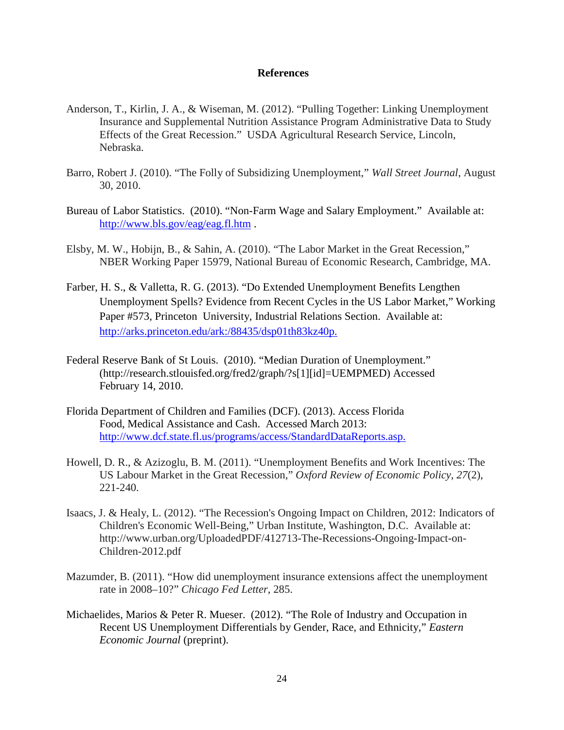### **References**

- Anderson, T., Kirlin, J. A., & Wiseman, M. (2012). "Pulling Together: Linking Unemployment Insurance and Supplemental Nutrition Assistance Program Administrative Data to Study Effects of the Great Recession." USDA Agricultural Research Service, Lincoln, Nebraska.
- Barro, Robert J. (2010). "The Folly of Subsidizing Unemployment," *Wall Street Journal*, August 30, 2010.
- Bureau of Labor Statistics. (2010). "Non-Farm Wage and Salary Employment." Available at: <http://www.bls.gov/eag/eag.fl.htm> .
- Elsby, M. W., Hobijn, B., & Sahin, A. (2010). "The Labor Market in the Great Recession," NBER Working Paper 15979, National Bureau of Economic Research, Cambridge, MA.
- Farber, H. S., & Valletta, R. G. (2013). "Do Extended Unemployment Benefits Lengthen Unemployment Spells? Evidence from Recent Cycles in the US Labor Market," Working Paper #573, Princeton University, Industrial Relations Section. Available at: [http://arks.princeton.edu/ark:/88435/dsp01th83kz40p.](http://arks.princeton.edu/ark:/88435/dsp01th83kz40p)
- Federal Reserve Bank of St Louis. (2010). "Median Duration of Unemployment." (http://research.stlouisfed.org/fred2/graph/?s[1][id]=UEMPMED) Accessed February 14, 2010.
- Florida Department of Children and Families (DCF). (2013). Access Florida Food, Medical Assistance and Cash. Accessed March 2013: [http://www.dcf.state.fl.us/programs/access/StandardDataReports.asp.](http://www.dcf.state.fl.us/programs/access/StandardDataReports.asp)
- Howell, D. R., & Azizoglu, B. M. (2011). "Unemployment Benefits and Work Incentives: The US Labour Market in the Great Recession," *Oxford Review of Economic Policy*, *27*(2), 221-240.
- Isaacs, J. & Healy, L. (2012). "The Recession's Ongoing Impact on Children, 2012: Indicators of Children's Economic Well-Being," Urban Institute, Washington, D.C. Available at: http://www.urban.org/UploadedPDF/412713-The-Recessions-Ongoing-Impact-on-Children-2012.pdf
- Mazumder, B. (2011). "How did unemployment insurance extensions affect the unemployment rate in 2008–10?" *Chicago Fed Letter*, 285.
- Michaelides, Marios & Peter R. Mueser. (2012). "The Role of Industry and Occupation in Recent US Unemployment Differentials by Gender, Race, and Ethnicity," *Eastern Economic Journal* (preprint).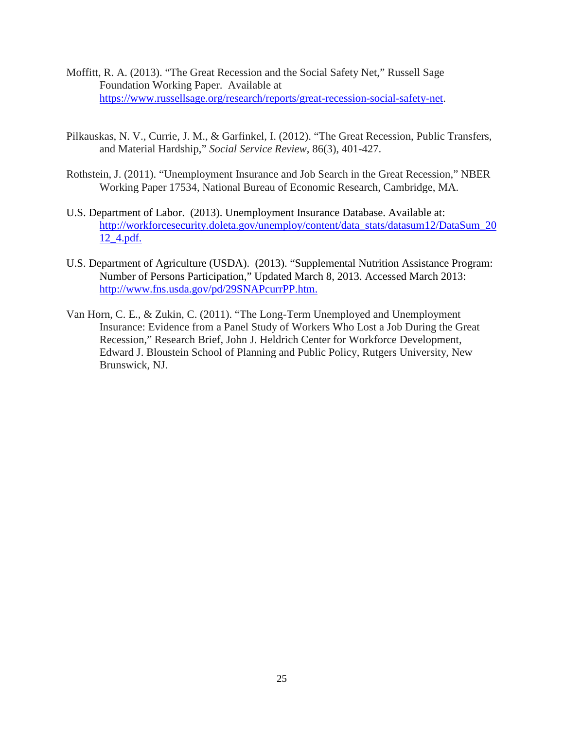- Moffitt, R. A. (2013). "The Great Recession and the Social Safety Net," Russell Sage Foundation Working Paper. Available at [https://www.russellsage.org/research/reports/great-recession-social-safety-net.](https://www.russellsage.org/research/reports/great-recession-social-safety-net)
- Pilkauskas, N. V., Currie, J. M., & Garfinkel, I. (2012). "The Great Recession, Public Transfers, and Material Hardship," *Social Service Review*, 86(3), 401-427.
- Rothstein, J. (2011). "Unemployment Insurance and Job Search in the Great Recession," NBER Working Paper 17534, National Bureau of Economic Research, Cambridge, MA.
- U.S. Department of Labor. (2013). Unemployment Insurance Database. Available at: [http://workforcesecurity.doleta.gov/unemploy/content/data\\_stats/datasum12/DataSum\\_20](http://workforcesecurity.doleta.gov/unemploy/content/data_stats/datasum12/DataSum_2012_4.pdf) [12\\_4.pdf.](http://workforcesecurity.doleta.gov/unemploy/content/data_stats/datasum12/DataSum_2012_4.pdf)
- U.S. Department of Agriculture (USDA). (2013). "Supplemental Nutrition Assistance Program: Number of Persons Participation," Updated March 8, 2013. Accessed March 2013: [http://www.fns.usda.gov/pd/29SNAPcurrPP.htm.](http://www.fns.usda.gov/pd/29SNAPcurrPP.htm)
- Van Horn, C. E., & Zukin, C. (2011). "The Long-Term Unemployed and Unemployment Insurance: Evidence from a Panel Study of Workers Who Lost a Job During the Great Recession," Research Brief, John J. Heldrich Center for Workforce Development, Edward J. Bloustein School of Planning and Public Policy, Rutgers University, New Brunswick, NJ.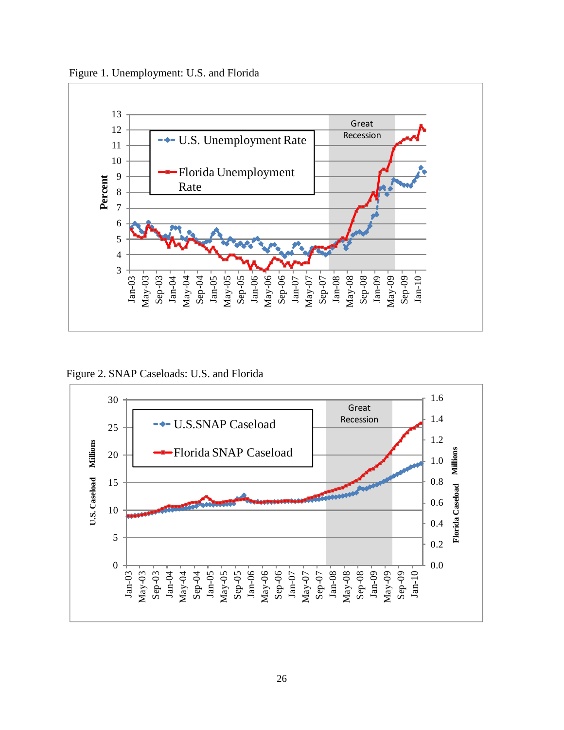Figure 1. Unemployment: U.S. and Florida



Figure 2. SNAP Caseloads: U.S. and Florida

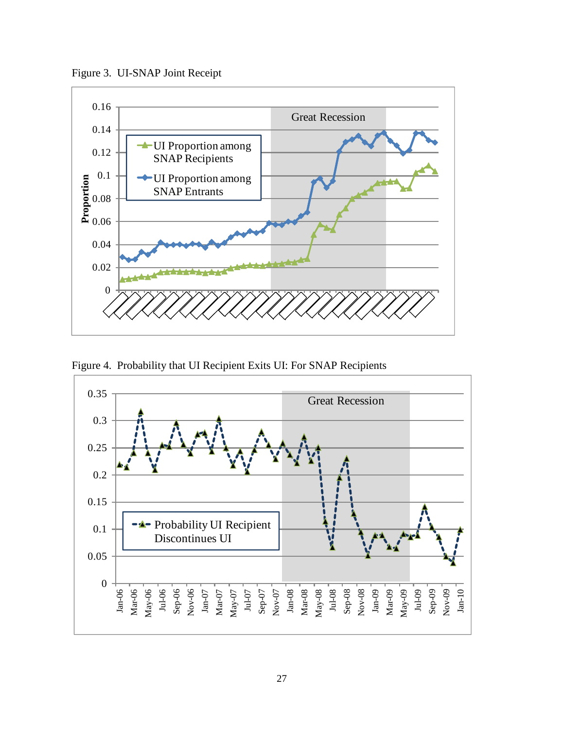Figure 3. UI-SNAP Joint Receipt



Figure 4. Probability that UI Recipient Exits UI: For SNAP Recipients

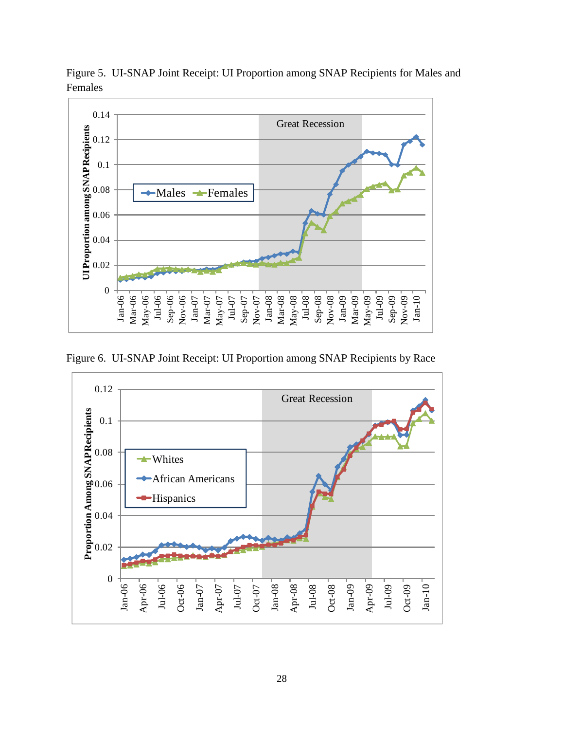

Figure 5. UI-SNAP Joint Receipt: UI Proportion among SNAP Recipients for Males and Females

Figure 6. UI-SNAP Joint Receipt: UI Proportion among SNAP Recipients by Race

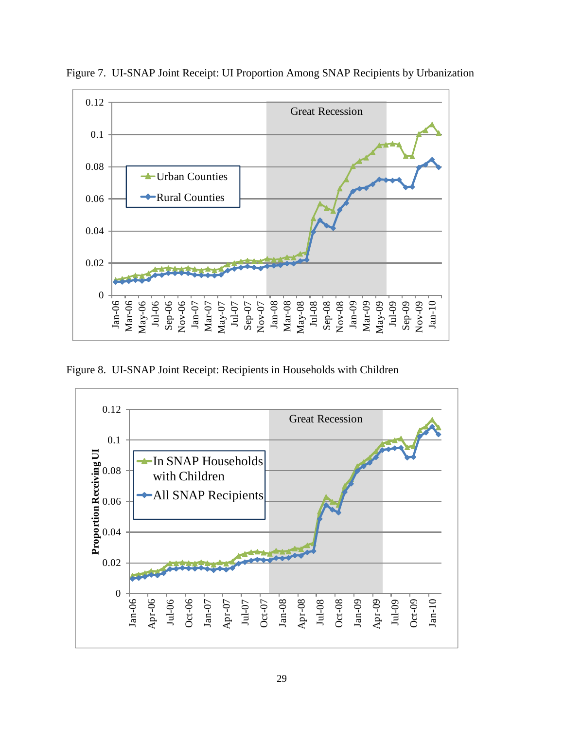

Figure 7. UI-SNAP Joint Receipt: UI Proportion Among SNAP Recipients by Urbanization

Figure 8. UI-SNAP Joint Receipt: Recipients in Households with Children

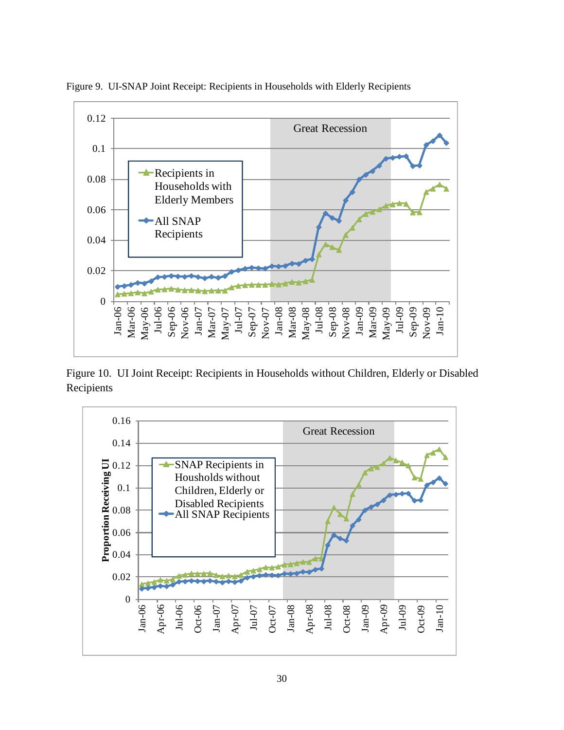

Figure 9. UI-SNAP Joint Receipt: Recipients in Households with Elderly Recipients

Figure 10. UI Joint Receipt: Recipients in Households without Children, Elderly or Disabled Recipients

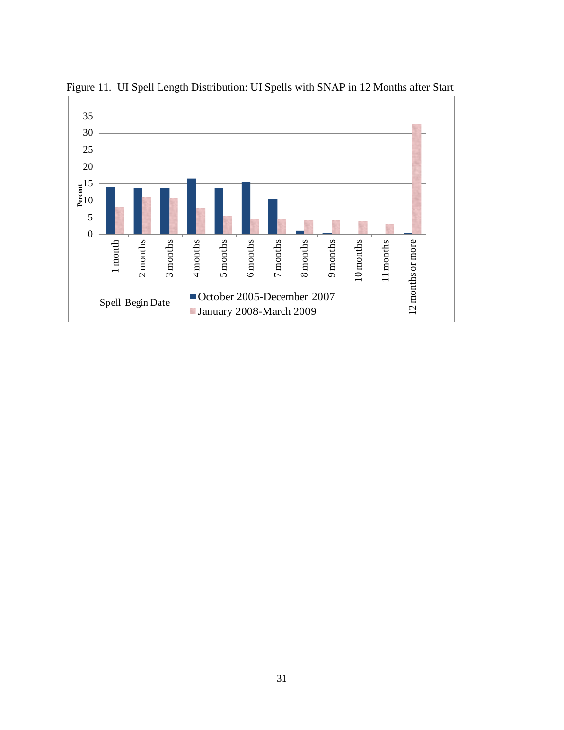

Figure 11. UI Spell Length Distribution: UI Spells with SNAP in 12 Months after Start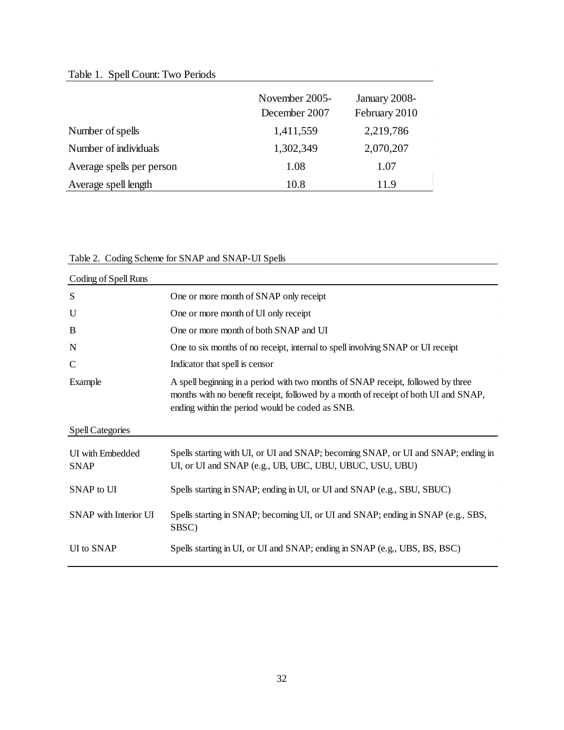# Table 1. Spell Count: Two Periods

|                           | November 2005-<br>December 2007 | January 2008-<br>February 2010 |
|---------------------------|---------------------------------|--------------------------------|
| Number of spells          | 1,411,559                       | 2,219,786                      |
| Number of individuals     | 1,302,349                       | 2,070,207                      |
| Average spells per person | 1.08                            | 1.07                           |
| Average spell length      | 10.8                            | 11.9                           |

# Table 2. Coding Scheme for SNAP and SNAP-UI Spells

| Coding of Spell Runs            |                                                                                                                                                                                                                            |
|---------------------------------|----------------------------------------------------------------------------------------------------------------------------------------------------------------------------------------------------------------------------|
| S                               | One or more month of SNAP only receipt                                                                                                                                                                                     |
| U                               | One or more month of UI only receipt                                                                                                                                                                                       |
| B                               | One or more month of both SNAP and UI                                                                                                                                                                                      |
| N                               | One to six months of no receipt, internal to spell involving SNAP or UI receipt                                                                                                                                            |
| $\mathbf C$                     | Indicator that spell is censor                                                                                                                                                                                             |
| Example                         | A spell beginning in a period with two months of SNAP receipt, followed by three<br>months with no benefit receipt, followed by a month of receipt of both UI and SNAP,<br>ending within the period would be coded as SNB. |
| Spell Categories                |                                                                                                                                                                                                                            |
| UI with Embedded<br><b>SNAP</b> | Spells starting with UI, or UI and SNAP; becoming SNAP, or UI and SNAP; ending in<br>UI, or UI and SNAP (e.g., UB, UBC, UBU, UBUC, USU, UBU)                                                                               |
| SNAP to UI                      | Spells starting in SNAP; ending in UI, or UI and SNAP (e.g., SBU, SBUC)                                                                                                                                                    |
| SNAP with Interior UI           | Spells starting in SNAP; becoming UI, or UI and SNAP; ending in SNAP (e.g., SBS,<br>SBSC)                                                                                                                                  |
| UI to SNAP                      | Spells starting in UI, or UI and SNAP; ending in SNAP (e.g., UBS, BS, BSC)                                                                                                                                                 |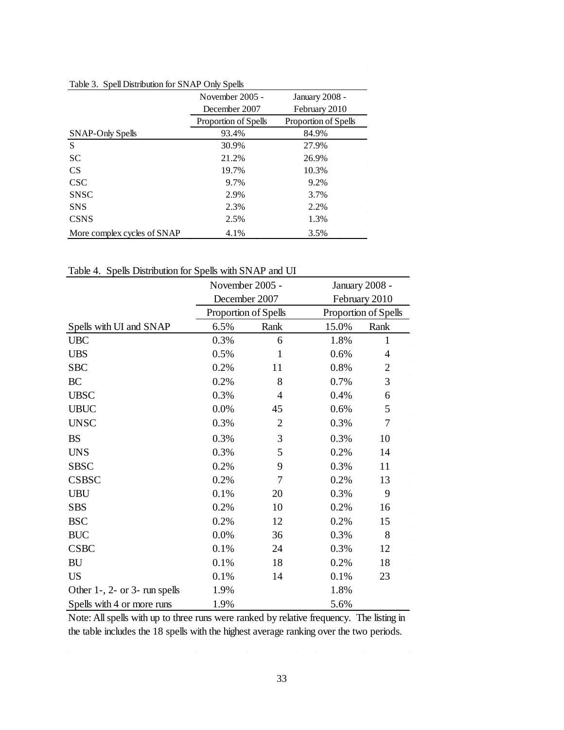|                             | November 2005 -      | January 2008 -       |
|-----------------------------|----------------------|----------------------|
|                             | December 2007        | February 2010        |
|                             | Proportion of Spells | Proportion of Spells |
| SNAP-Only Spells            | 93.4%                | 84.9%                |
| S                           | 30.9%                | 27.9%                |
| <b>SC</b>                   | 21.2%                | 26.9%                |
| <b>CS</b>                   | 19.7%                | 10.3%                |
| <b>CSC</b>                  | 9.7%                 | 9.2%                 |
| <b>SNSC</b>                 | 2.9%                 | 3.7%                 |
| <b>SNS</b>                  | 2.3%                 | 2.2%                 |
| <b>CSNS</b>                 | 2.5%                 | 1.3%                 |
| More complex cycles of SNAP | 4.1%                 | 3.5%                 |

### Table 3. Spell Distribution for SNAP Only Spells

Table 4. Spells Distribution for Spells with SNAP and UI

|                               | November 2005 -      |                | January 2008 - |                      |
|-------------------------------|----------------------|----------------|----------------|----------------------|
|                               | December 2007        |                |                | February 2010        |
|                               | Proportion of Spells |                |                | Proportion of Spells |
| Spells with UI and SNAP       | 6.5%                 | Rank           | 15.0%          | Rank                 |
| <b>UBC</b>                    | 0.3%                 | 6              | 1.8%           | 1                    |
| <b>UBS</b>                    | 0.5%                 | $\mathbf{1}$   | 0.6%           | 4                    |
| <b>SBC</b>                    | 0.2%                 | 11             | 0.8%           | $\mathfrak{2}$       |
| BC                            | 0.2%                 | 8              | 0.7%           | 3                    |
| <b>UBSC</b>                   | 0.3%                 | 4              | 0.4%           | 6                    |
| <b>UBUC</b>                   | 0.0%                 | 45             | 0.6%           | 5                    |
| <b>UNSC</b>                   | 0.3%                 | $\overline{2}$ | 0.3%           | 7                    |
| <b>BS</b>                     | 0.3%                 | 3              | 0.3%           | 10                   |
| <b>UNS</b>                    | 0.3%                 | 5              | 0.2%           | 14                   |
| <b>SBSC</b>                   | 0.2%                 | 9              | 0.3%           | 11                   |
| <b>CSBSC</b>                  | 0.2%                 | 7              | 0.2%           | 13                   |
| <b>UBU</b>                    | 0.1%                 | 20             | 0.3%           | 9                    |
| <b>SBS</b>                    | 0.2%                 | 10             | 0.2%           | 16                   |
| <b>BSC</b>                    | 0.2%                 | 12             | 0.2%           | 15                   |
| <b>BUC</b>                    | 0.0%                 | 36             | 0.3%           | 8                    |
| <b>CSBC</b>                   | 0.1%                 | 24             | 0.3%           | 12                   |
| BU                            | 0.1%                 | 18             | 0.2%           | 18                   |
| <b>US</b>                     | 0.1%                 | 14             | 0.1%           | 23                   |
| Other 1-, 2- or 3- run spells | 1.9%                 |                | 1.8%           |                      |
| Spells with 4 or more runs    | 1.9%                 |                | 5.6%           |                      |

Note: All spells with up to three runs were ranked by relative frequency. The listing in the table includes the 18 spells with the highest average ranking over the two periods.

 $\sim$   $\sigma$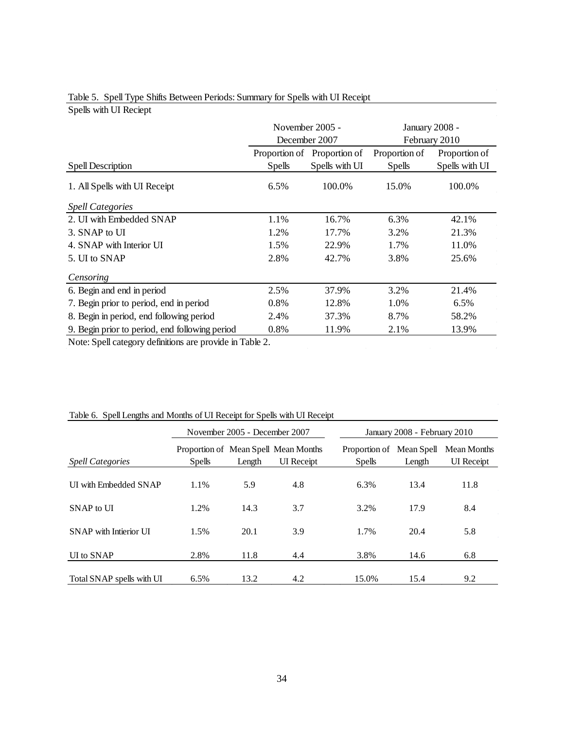|                                                |               | November 2005 -             |               | January 2008 - |
|------------------------------------------------|---------------|-----------------------------|---------------|----------------|
|                                                |               | December 2007               |               | February 2010  |
|                                                |               | Proportion of Proportion of | Proportion of | Proportion of  |
| Spell Description                              | <b>Spells</b> | Spells with UI              | <b>Spells</b> | Spells with UI |
| 1. All Spells with UI Receipt                  | 6.5%          | 100.0%                      | 15.0%         | 100.0%         |
| <b>Spell Categories</b>                        |               |                             |               |                |
| 2. UI with Embedded SNAP                       | 1.1%          | 16.7%                       | 6.3%          | 42.1%          |
| 3. SNAP to UI                                  | 1.2%          | 17.7%                       | 3.2%          | 21.3%          |
| 4. SNAP with Interior UI                       | 1.5%          | 22.9%                       | 1.7%          | 11.0%          |
| 5. UI to SNAP                                  | 2.8%          | 42.7%                       | 3.8%          | 25.6%          |
| Censoring                                      |               |                             |               |                |
| 6. Begin and end in period                     | 2.5%          | 37.9%                       | 3.2%          | 21.4%          |
| 7. Begin prior to period, end in period        | 0.8%          | 12.8%                       | 1.0%          | 6.5%           |
| 8. Begin in period, end following period       | 2.4%          | 37.3%                       | 8.7%          | 58.2%          |
| 9. Begin prior to period, end following period | 0.8%          | 11.9%                       | 2.1%          | 13.9%          |

### Table 5. Spell Type Shifts Between Periods: Summary for Spells with UI Receipt

Spells with UI Reciept

Note: Spell category definitions are provide in Table 2.

|                              | November 2005 - December 2007 |        |                                                           | January 2008 - February 2010              |        |                                  |
|------------------------------|-------------------------------|--------|-----------------------------------------------------------|-------------------------------------------|--------|----------------------------------|
| <b>Spell Categories</b>      | <b>Spells</b>                 | Length | Proportion of Mean Spell Mean Months<br><b>UI</b> Receipt | Proportion of Mean Spell<br><b>Spells</b> | Length | Mean Months<br><b>UI</b> Receipt |
| <b>UI</b> with Embedded SNAP | 1.1%                          | 5.9    | 4.8                                                       | 6.3%                                      | 13.4   | 11.8                             |
| $SNAP$ to $I\overline{I}$    | 1.2%                          | 14.3   | 3.7                                                       | 3.2%                                      | 17.9   | 8.4                              |
| SNAP with Intierior UI       | 1.5%                          | 20.1   | 3.9                                                       | 1.7%                                      | 20.4   | 5.8                              |
| UI to SNAP                   | 2.8%                          | 11.8   | 4.4                                                       | 3.8%                                      | 14.6   | 6.8                              |
| Total SNAP spells with UI    | 6.5%                          | 13.2   | 4.2                                                       | 15.0%                                     | 15.4   | 9.2                              |

# Table 6. Spell Lengths and Months of UI Receipt for Spells with UI Receipt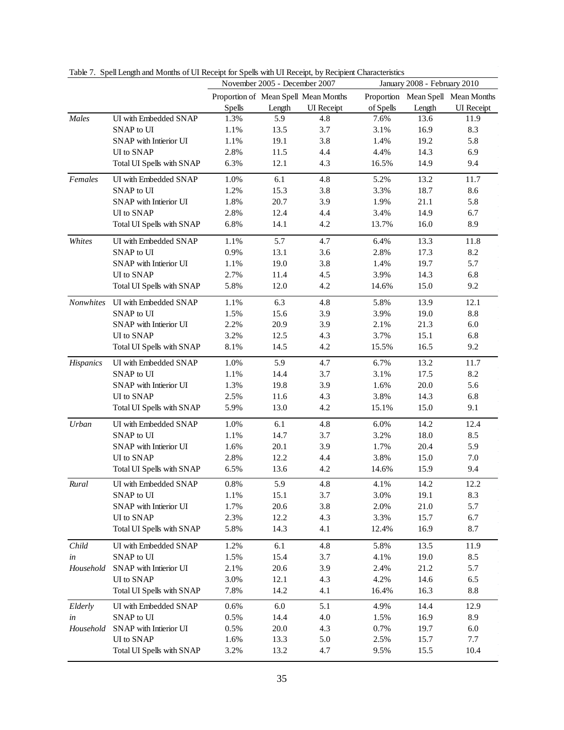|           |                           | November 2005 - December 2007 |        | January 2008 - February 2010         |           |        |                                   |
|-----------|---------------------------|-------------------------------|--------|--------------------------------------|-----------|--------|-----------------------------------|
|           |                           |                               |        | Proportion of Mean Spell Mean Months |           |        | Proportion Mean Spell Mean Months |
|           |                           | <b>Spells</b>                 | Length | <b>UI</b> Receipt                    | of Spells | Length | <b>UI</b> Receipt                 |
| Males     | UI with Embedded SNAP     | 1.3%                          | 5.9    | 4.8                                  | 7.6%      | 13.6   | 11.9                              |
|           | SNAP to UI                | 1.1%                          | 13.5   | 3.7                                  | 3.1%      | 16.9   | 8.3                               |
|           | SNAP with Intierior UI    | 1.1%                          | 19.1   | 3.8                                  | 1.4%      | 19.2   | 5.8                               |
|           | UI to SNAP                | 2.8%                          | 11.5   | 4.4                                  | 4.4%      | 14.3   | 6.9                               |
|           | Total UI Spells with SNAP | 6.3%                          | 12.1   | 4.3                                  | 16.5%     | 14.9   | 9.4                               |
| Females   | UI with Embedded SNAP     | 1.0%                          | 6.1    | 4.8                                  | 5.2%      | 13.2   | 11.7                              |
|           | SNAP to UI                | 1.2%                          | 15.3   | 3.8                                  | 3.3%      | 18.7   | 8.6                               |
|           | SNAP with Intierior UI    | 1.8%                          | 20.7   | 3.9                                  | 1.9%      | 21.1   | 5.8                               |
|           | UI to SNAP                | 2.8%                          | 12.4   | 4.4                                  | 3.4%      | 14.9   | 6.7                               |
|           | Total UI Spells with SNAP | 6.8%                          | 14.1   | 4.2                                  | 13.7%     | 16.0   | 8.9                               |
| Whites    | UI with Embedded SNAP     | 1.1%                          | 5.7    | 4.7                                  | 6.4%      | 13.3   | 11.8                              |
|           | SNAP to UI                | 0.9%                          | 13.1   | 3.6                                  | 2.8%      | 17.3   | 8.2                               |
|           | SNAP with Intierior UI    | 1.1%                          | 19.0   | 3.8                                  | 1.4%      | 19.7   | 5.7                               |
|           | UI to SNAP                | 2.7%                          | 11.4   | 4.5                                  | 3.9%      | 14.3   | 6.8                               |
|           | Total UI Spells with SNAP | 5.8%                          | 12.0   | 4.2                                  | 14.6%     | 15.0   | 9.2                               |
| Nonwhites | UI with Embedded SNAP     | 1.1%                          | 6.3    | 4.8                                  | 5.8%      | 13.9   | 12.1                              |
|           | SNAP to UI                | 1.5%                          | 15.6   | 3.9                                  | 3.9%      | 19.0   | 8.8                               |
|           | SNAP with Intierior UI    | 2.2%                          | 20.9   | 3.9                                  | 2.1%      | 21.3   | $6.0\,$                           |
|           | UI to SNAP                | 3.2%                          | 12.5   | 4.3                                  | 3.7%      | 15.1   | 6.8                               |
|           | Total UI Spells with SNAP | 8.1%                          | 14.5   | 4.2                                  | 15.5%     | 16.5   | 9.2                               |
| Hispanics | UI with Embedded SNAP     | 1.0%                          | 5.9    | 4.7                                  | 6.7%      | 13.2   | 11.7                              |
|           | SNAP to UI                | 1.1%                          | 14.4   | 3.7                                  | 3.1%      | 17.5   | 8.2                               |
|           | SNAP with Intierior UI    | 1.3%                          | 19.8   | 3.9                                  | 1.6%      | 20.0   | 5.6                               |
|           | UI to SNAP                | 2.5%                          | 11.6   | 4.3                                  | 3.8%      | 14.3   | 6.8                               |
|           | Total UI Spells with SNAP | 5.9%                          | 13.0   | 4.2                                  | 15.1%     | 15.0   | 9.1                               |
| Urban     | UI with Embedded SNAP     | 1.0%                          | 6.1    | 4.8                                  | 6.0%      | 14.2   | 12.4                              |
|           | SNAP to UI                | 1.1%                          | 14.7   | 3.7                                  | 3.2%      | 18.0   | 8.5                               |
|           | SNAP with Intierior UI    | 1.6%                          | 20.1   | 3.9                                  | 1.7%      | 20.4   | 5.9                               |
|           | UI to SNAP                | 2.8%                          | 12.2   | 4.4                                  | 3.8%      | 15.0   | 7.0                               |
|           | Total UI Spells with SNAP | 6.5%                          | 13.6   | 4.2                                  | 14.6%     | 15.9   | 9.4                               |
| Rural     | UI with Embedded SNAP     | 0.8%                          | 5.9    | 4.8                                  | 4.1%      | 14.2   | 12.2                              |
|           | SNAP to UI                | 1.1%                          | 15.1   | 3.7                                  | 3.0%      | 19.1   | 8.3                               |
|           | SNAP with Intierior UI    | 1.7%                          | 20.6   | 3.8                                  | 2.0%      | 21.0   | 5.7                               |
|           | UI to SNAP                | 2.3%                          | 12.2   | 4.3                                  | 3.3%      | 15.7   | 6.7                               |
|           | Total UI Spells with SNAP | 5.8%                          | 14.3   | 4.1                                  | 12.4%     | 16.9   | 8.7                               |
| Child     | UI with Embedded SNAP     | 1.2%                          | 6.1    | 4.8                                  | 5.8%      | 13.5   | 11.9                              |
| in        | SNAP to UI                | 1.5%                          | 15.4   | 3.7                                  | 4.1%      | 19.0   | 8.5                               |
| Household | SNAP with Intierior UI    | 2.1%                          | 20.6   | 3.9                                  | 2.4%      | 21.2   | 5.7                               |
|           | UI to SNAP                | 3.0%                          | 12.1   | 4.3                                  | 4.2%      | 14.6   | 6.5                               |
|           | Total UI Spells with SNAP | 7.8%                          | 14.2   | 4.1                                  | 16.4%     | 16.3   | 8.8                               |
| Elderly   | UI with Embedded SNAP     | 0.6%                          | 6.0    | 5.1                                  | 4.9%      | 14.4   | 12.9                              |
| in        | SNAP to UI                | 0.5%                          | 14.4   | 4.0                                  | 1.5%      | 16.9   | 8.9                               |
| Household | SNAP with Intierior UI    | 0.5%                          | 20.0   | 4.3                                  | 0.7%      | 19.7   | $6.0\,$                           |
|           | UI to SNAP                | 1.6%                          | 13.3   | 5.0                                  | 2.5%      | 15.7   | 7.7                               |
|           | Total UI Spells with SNAP | 3.2%                          | 13.2   | 4.7                                  | 9.5%      | 15.5   | 10.4                              |

Table 7. Spell Length and Months of UI Receipt for Spells with UI Receipt, by Recipient Characteristics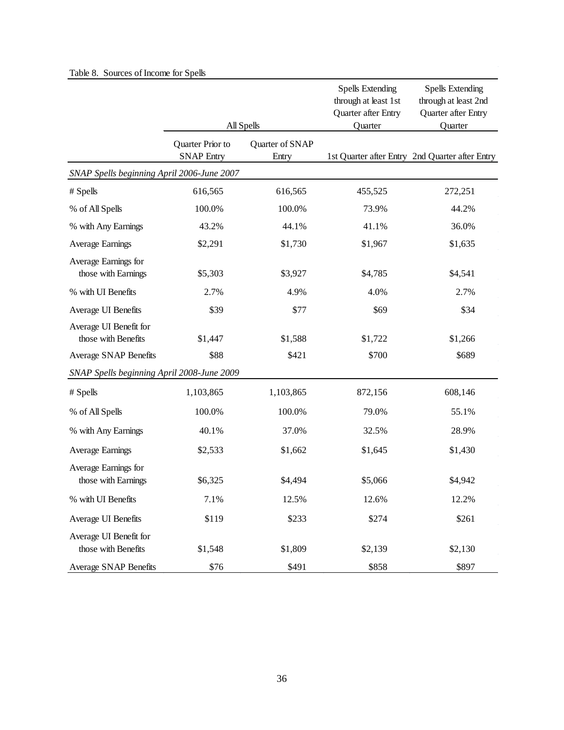|                                               |                   |                 | <b>Spells Extending</b><br>through at least 1st | <b>Spells Extending</b><br>through at least 2nd |
|-----------------------------------------------|-------------------|-----------------|-------------------------------------------------|-------------------------------------------------|
|                                               |                   | All Spells      | Quarter after Entry<br>Quarter                  | Quarter after Entry<br>Quarter                  |
|                                               | Quarter Prior to  | Quarter of SNAP |                                                 |                                                 |
|                                               | <b>SNAP Entry</b> | Entry           |                                                 | 1st Quarter after Entry 2nd Quarter after Entry |
| SNAP Spells beginning April 2006-June 2007    |                   |                 |                                                 |                                                 |
| # Spells                                      | 616,565           | 616,565         | 455,525                                         | 272,251                                         |
| % of All Spells                               | 100.0%            | 100.0%          | 73.9%                                           | 44.2%                                           |
| % with Any Earnings                           | 43.2%             | 44.1%           | 41.1%                                           | 36.0%                                           |
| Average Earnings                              | \$2,291           | \$1,730         | \$1,967                                         | \$1,635                                         |
| Average Earnings for<br>those with Earnings   | \$5,303           | \$3,927         | \$4,785                                         | \$4,541                                         |
| % with UI Benefits                            | 2.7%              | 4.9%            | 4.0%                                            | 2.7%                                            |
| Average UI Benefits                           | \$39              | \$77            | \$69                                            | \$34                                            |
| Average UI Benefit for<br>those with Benefits | \$1,447           | \$1,588         | \$1,722                                         | \$1,266                                         |
| <b>Average SNAP Benefits</b>                  | \$88              | \$421           | \$700                                           | \$689                                           |
| SNAP Spells beginning April 2008-June 2009    |                   |                 |                                                 |                                                 |
| # Spells                                      | 1,103,865         | 1,103,865       | 872,156                                         | 608,146                                         |
| % of All Spells                               | 100.0%            | 100.0%          | 79.0%                                           | 55.1%                                           |
| % with Any Earnings                           | 40.1%             | 37.0%           | 32.5%                                           | 28.9%                                           |
| <b>Average Earnings</b>                       | \$2,533           | \$1,662         | \$1,645                                         | \$1,430                                         |
| Average Earnings for<br>those with Earnings   | \$6,325           | \$4,494         | \$5,066                                         | \$4,942                                         |
| % with UI Benefits                            | 7.1%              | 12.5%           | 12.6%                                           | 12.2%                                           |
| Average UI Benefits                           | \$119             | \$233           | \$274                                           | \$261                                           |
| Average UI Benefit for<br>those with Benefits | \$1,548           | \$1,809         | \$2,139                                         | \$2,130                                         |
| <b>Average SNAP Benefits</b>                  | \$76              | \$491           | \$858                                           | \$897                                           |

# Table 8. Sources of Income for Spells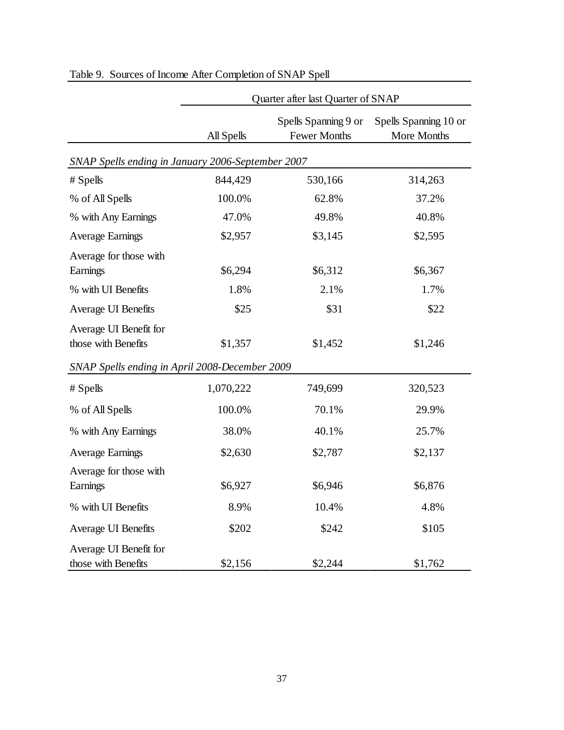|                                                                                                 | Quarter after last Quarter of SNAP |                                             |                                      |  |  |
|-------------------------------------------------------------------------------------------------|------------------------------------|---------------------------------------------|--------------------------------------|--|--|
|                                                                                                 | All Spells                         | Spells Spanning 9 or<br><b>Fewer Months</b> | Spells Spanning 10 or<br>More Months |  |  |
| SNAP Spells ending in January 2006-September 2007                                               |                                    |                                             |                                      |  |  |
| # Spells                                                                                        | 844,429                            | 530,166                                     | 314,263                              |  |  |
| % of All Spells                                                                                 | 100.0%                             | 62.8%                                       | 37.2%                                |  |  |
| % with Any Earnings                                                                             | 47.0%                              | 49.8%                                       | 40.8%                                |  |  |
| <b>Average Earnings</b>                                                                         | \$2,957                            | \$3,145                                     | \$2,595                              |  |  |
| Average for those with<br>Earnings                                                              | \$6,294                            | \$6,312                                     | \$6,367                              |  |  |
| % with UI Benefits                                                                              | 1.8%                               | 2.1%                                        | 1.7%                                 |  |  |
| Average UI Benefits                                                                             | \$25                               | \$31                                        | \$22                                 |  |  |
| Average UI Benefit for<br>those with Benefits<br>SNAP Spells ending in April 2008-December 2009 | \$1,357                            | \$1,452                                     | \$1,246                              |  |  |
| # Spells                                                                                        | 1,070,222                          | 749,699                                     | 320,523                              |  |  |
| % of All Spells                                                                                 | 100.0%                             | 70.1%                                       | 29.9%                                |  |  |
| % with Any Earnings                                                                             | 38.0%                              | 40.1%                                       | 25.7%                                |  |  |
| <b>Average Earnings</b>                                                                         | \$2,630                            | \$2,787                                     | \$2,137                              |  |  |
| Average for those with<br>Earnings                                                              | \$6,927                            | \$6,946                                     | \$6,876                              |  |  |
| % with UI Benefits                                                                              | 8.9%                               | 10.4%                                       | 4.8%                                 |  |  |
| Average UI Benefits                                                                             | \$202                              | \$242                                       | \$105                                |  |  |
| Average UI Benefit for<br>those with Benefits                                                   | \$2,156                            | \$2,244                                     | \$1,762                              |  |  |

# Table 9. Sources of Income After Completion of SNAP Spell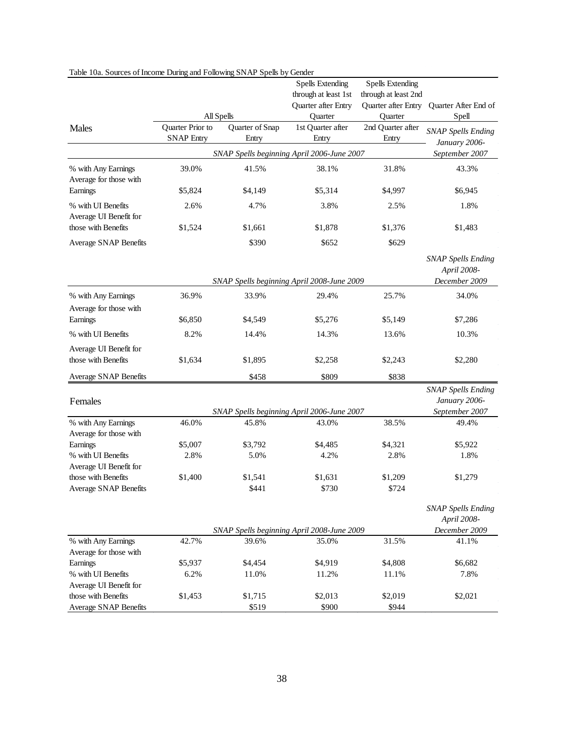| raok Toa. Sources of fileofik During and I ollowing STVT to Spells by Gender |                   |                 | <b>Spells Extending</b>                    | <b>Spells Extending</b> |                           |
|------------------------------------------------------------------------------|-------------------|-----------------|--------------------------------------------|-------------------------|---------------------------|
|                                                                              |                   |                 | through at least 1st                       | through at least 2nd    |                           |
|                                                                              |                   |                 | Quarter after Entry                        | Quarter after Entry     | Quarter After End of      |
|                                                                              | All Spells        |                 | Quarter                                    | Quarter                 | Spell                     |
| Males                                                                        | Quarter Prior to  | Quarter of Snap | 1st Quarter after                          | 2nd Quarter after       |                           |
|                                                                              | <b>SNAP Entry</b> | Entry           | Entry                                      | Entry                   | <b>SNAP Spells Ending</b> |
|                                                                              |                   |                 |                                            |                         | January 2006-             |
|                                                                              |                   |                 | SNAP Spells beginning April 2006-June 2007 |                         | September 2007            |
| % with Any Earnings                                                          | 39.0%             | 41.5%           | 38.1%                                      | 31.8%                   | 43.3%                     |
| Average for those with                                                       |                   |                 |                                            |                         |                           |
| Earnings                                                                     | \$5,824           | \$4,149         | \$5,314                                    | \$4,997                 | \$6,945                   |
| % with UI Benefits                                                           | 2.6%              | 4.7%            | 3.8%                                       | 2.5%                    | 1.8%                      |
| Average UI Benefit for                                                       |                   |                 |                                            |                         |                           |
| those with Benefits                                                          | \$1,524           | \$1,661         | \$1,878                                    | \$1,376                 | \$1,483                   |
| Average SNAP Benefits                                                        |                   | \$390           | \$652                                      | \$629                   |                           |
|                                                                              |                   |                 |                                            |                         |                           |
|                                                                              |                   |                 |                                            |                         | <b>SNAP Spells Ending</b> |
|                                                                              |                   |                 |                                            |                         | April 2008-               |
|                                                                              |                   |                 | SNAP Spells beginning April 2008-June 2009 |                         | December 2009             |
| % with Any Earnings                                                          | 36.9%             | 33.9%           | 29.4%                                      | 25.7%                   | 34.0%                     |
| Average for those with                                                       |                   |                 |                                            |                         |                           |
| Earnings                                                                     | \$6,850           | \$4,549         | \$5,276                                    | \$5,149                 | \$7,286                   |
| % with UI Benefits                                                           | 8.2%              | 14.4%           | 14.3%                                      | 13.6%                   | 10.3%                     |
| Average UI Benefit for                                                       |                   |                 |                                            |                         |                           |
| those with Benefits                                                          | \$1,634           | \$1,895         | \$2,258                                    | \$2,243                 | \$2,280                   |
|                                                                              |                   |                 |                                            |                         |                           |
| Average SNAP Benefits                                                        |                   | \$458           | \$809                                      | \$838                   |                           |
|                                                                              |                   |                 |                                            |                         | <b>SNAP Spells Ending</b> |
| Females                                                                      |                   |                 |                                            |                         | January 2006-             |
|                                                                              |                   |                 | SNAP Spells beginning April 2006-June 2007 |                         | September 2007            |
| % with Any Earnings<br>Average for those with                                | 46.0%             | 45.8%           | 43.0%                                      | 38.5%                   | 49.4%                     |
| Earnings                                                                     | \$5,007           | \$3,792         | \$4,485                                    | \$4,321                 | \$5,922                   |
| % with UI Benefits                                                           | 2.8%              | 5.0%            | 4.2%                                       | 2.8%                    | 1.8%                      |
| Average UI Benefit for                                                       |                   |                 |                                            |                         |                           |
| those with Benefits                                                          | \$1,400           | \$1,541         | \$1,631                                    | \$1,209                 | \$1,279                   |
| <b>Average SNAP Benefits</b>                                                 |                   | \$441           | \$730                                      | \$724                   |                           |
|                                                                              |                   |                 |                                            |                         |                           |
|                                                                              |                   |                 |                                            |                         | <b>SNAP Spells Ending</b> |
|                                                                              |                   |                 |                                            |                         | April 2008-               |
|                                                                              |                   |                 | SNAP Spells beginning April 2008-June 2009 |                         | December 2009             |
| % with Any Earnings                                                          | 42.7%             | 39.6%           | 35.0%                                      | 31.5%                   | 41.1%                     |
| Average for those with                                                       |                   |                 |                                            |                         |                           |
| Earnings                                                                     | \$5,937           | \$4,454         | \$4,919                                    | \$4,808                 | \$6,682                   |
| % with UI Benefits                                                           | 6.2%              | 11.0%           | 11.2%                                      | 11.1%                   | 7.8%                      |
| Average UI Benefit for<br>those with Benefits                                | \$1,453           | \$1,715         | \$2,013                                    | \$2,019                 | \$2,021                   |
| <b>Average SNAP Benefits</b>                                                 |                   | \$519           | \$900                                      | \$944                   |                           |
|                                                                              |                   |                 |                                            |                         |                           |

### Table 10a. Sources of Income During and Following SNAP Spells by Gender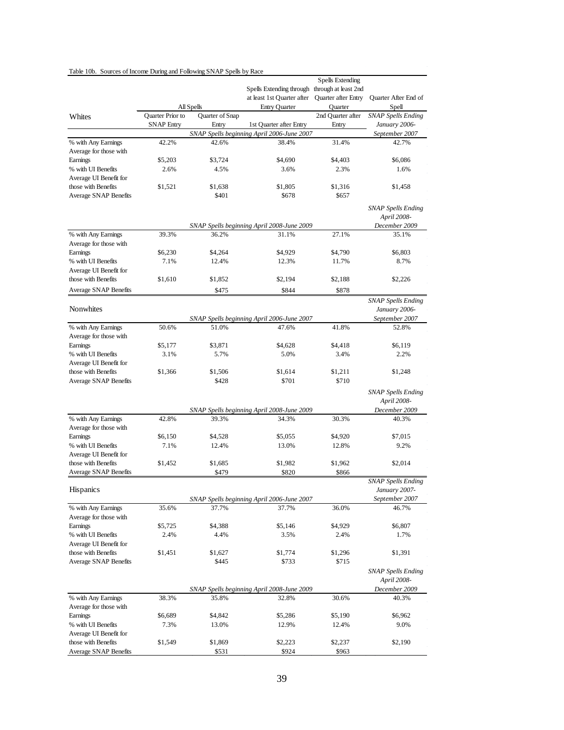| Table 10b. Sources of Income During and Following SNAP Spells by Race |                   |                 |                                                                             |                                                |                                                              |
|-----------------------------------------------------------------------|-------------------|-----------------|-----------------------------------------------------------------------------|------------------------------------------------|--------------------------------------------------------------|
|                                                                       |                   |                 | Spells Extending through through at least 2nd<br>at least 1st Quarter after | Spells Extending<br><b>Ouarter after Entry</b> | Quarter After End of                                         |
|                                                                       |                   | All Spells      | <b>Entry Quarter</b>                                                        | Quarter                                        | Spell                                                        |
| Whites                                                                | Quarter Prior to  | Quarter of Snap |                                                                             | 2nd Ouarter after                              | <b>SNAP Spells Ending</b>                                    |
|                                                                       | <b>SNAP Entry</b> | Entry           | 1st Quarter after Entry<br>SNAP Spells beginning April 2006-June 2007       | Entry                                          | January 2006-                                                |
| % with Any Earnings                                                   | 42.2%             | 42.6%           | 38.4%                                                                       | 31.4%                                          | September 2007<br>42.7%                                      |
| Average for those with                                                |                   |                 |                                                                             |                                                |                                                              |
| Earnings                                                              | \$5,203           | \$3,724         | \$4,690                                                                     | \$4,403                                        | \$6,086                                                      |
| % with UI Benefits                                                    | 2.6%              | 4.5%            | 3.6%                                                                        | 2.3%                                           | 1.6%                                                         |
| Average UI Benefit for                                                |                   |                 |                                                                             |                                                |                                                              |
| those with Benefits                                                   | \$1,521           | \$1.638         | \$1,805                                                                     | \$1,316                                        | \$1,458                                                      |
| Average SNAP Benefits                                                 |                   | \$401           | \$678                                                                       | \$657                                          |                                                              |
|                                                                       |                   |                 |                                                                             |                                                | <b>SNAP Spells Ending</b><br>April 2008-                     |
|                                                                       |                   |                 | SNAP Spells beginning April 2008-June 2009                                  |                                                | December 2009                                                |
| % with Any Earnings<br>Average for those with                         | 39.3%             | 36.2%           | 31.1%                                                                       | 27.1%                                          | 35.1%                                                        |
| Earnings                                                              | \$6,230           | \$4,264         | \$4,929                                                                     | \$4,790                                        | \$6,803                                                      |
| % with UI Benefits                                                    | 7.1%              | 12.4%           | 12.3%                                                                       | 11.7%                                          | 8.7%                                                         |
| Average UI Benefit for                                                |                   |                 |                                                                             |                                                |                                                              |
| those with Benefits                                                   | \$1,610           | \$1,852         | \$2,194                                                                     | \$2,188                                        | \$2,226                                                      |
| Average SNAP Benefits                                                 |                   | \$475           | \$844                                                                       | \$878                                          |                                                              |
|                                                                       |                   |                 |                                                                             |                                                |                                                              |
| Nonwhites                                                             |                   |                 | SNAP Spells beginning April 2006-June 2007                                  |                                                | <b>SNAP Spells Ending</b><br>January 2006-<br>September 2007 |
| % with Any Earnings                                                   | 50.6%             | 51.0%           | 47.6%                                                                       | 41.8%                                          | 52.8%                                                        |
| Average for those with                                                |                   |                 |                                                                             |                                                |                                                              |
| Earnings                                                              | \$5,177           | \$3,871         | \$4,628                                                                     | \$4,418                                        | \$6,119                                                      |
| % with UI Benefits                                                    | 3.1%              | 5.7%            | 5.0%                                                                        | 3.4%                                           | 2.2%                                                         |
| Average UI Benefit for                                                |                   |                 |                                                                             |                                                |                                                              |
| those with Benefits                                                   | \$1,366           | \$1,506         | \$1,614                                                                     | \$1,211                                        | \$1,248                                                      |
| Average SNAP Benefits                                                 |                   | \$428           | \$701                                                                       | \$710                                          |                                                              |
|                                                                       |                   |                 |                                                                             |                                                | <b>SNAP Spells Ending</b><br>April 2008-                     |
|                                                                       |                   |                 | SNAP Spells beginning April 2008-June 2009                                  |                                                | December 2009                                                |
| % with Any Earnings<br>Average for those with                         | 42.8%             | 39.3%           | 34.3%                                                                       | 30.3%                                          | 40.3%                                                        |
| Earnings                                                              | \$6,150           | \$4,528         | \$5,055                                                                     | \$4,920                                        | \$7,015                                                      |
| % with UI Benefits                                                    | 7.1%              | 12.4%           | 13.0%                                                                       | 12.8%                                          | 9.2%                                                         |
| Average UI Benefit for                                                |                   |                 |                                                                             |                                                |                                                              |
| those with Benefits                                                   | \$1,452           | \$1,685         | \$1,982                                                                     | \$1,962                                        | \$2,014                                                      |
| <b>Average SNAP Benefits</b>                                          |                   | \$479           | \$820                                                                       | \$866                                          |                                                              |
|                                                                       |                   |                 |                                                                             |                                                | SNAP Spells Ending                                           |
| Hispanics                                                             |                   |                 |                                                                             |                                                | January 2007-<br>September 2007                              |
| % with Any Earnings                                                   | 35.6%             | 37.7%           | SNAP Spells beginning April 2006-June 2007<br>37.7%                         | 36.0%                                          | 46.7%                                                        |
| Average for those with                                                |                   |                 |                                                                             |                                                |                                                              |
| Earnings                                                              | \$5,725           | \$4,388         | \$5,146                                                                     | \$4,929                                        | \$6,807                                                      |
| % with UI Benefits                                                    | 2.4%              | 4.4%            | 3.5%                                                                        | 2.4%                                           | 1.7%                                                         |
| Average UI Benefit for                                                |                   |                 |                                                                             |                                                |                                                              |
| those with Benefits                                                   | \$1,451           | \$1,627         | \$1,774                                                                     | \$1,296                                        | \$1,391                                                      |
| Average SNAP Benefits                                                 |                   | \$445           | \$733                                                                       | \$715                                          |                                                              |
|                                                                       |                   |                 |                                                                             |                                                | <b>SNAP Spells Ending</b><br>April 2008-                     |
|                                                                       |                   |                 | SNAP Spells beginning April 2008-June 2009                                  |                                                | December 2009                                                |
| % with Any Earnings<br>Average for those with                         | 38.3%             | 35.8%           | 32.8%                                                                       | 30.6%                                          | 40.3%                                                        |
| Earnings                                                              | \$6,689           | \$4,842         | \$5,286                                                                     | \$5,190                                        | \$6,962                                                      |
| % with UI Benefits                                                    | 7.3%              | 13.0%           | 12.9%                                                                       | 12.4%                                          | 9.0%                                                         |
| Average UI Benefit for                                                |                   |                 |                                                                             |                                                |                                                              |
| those with Benefits                                                   | \$1,549           | \$1,869         | \$2,223                                                                     | \$2,237                                        | \$2,190                                                      |
| <b>Average SNAP Benefits</b>                                          |                   | \$531           | \$924                                                                       | \$963                                          |                                                              |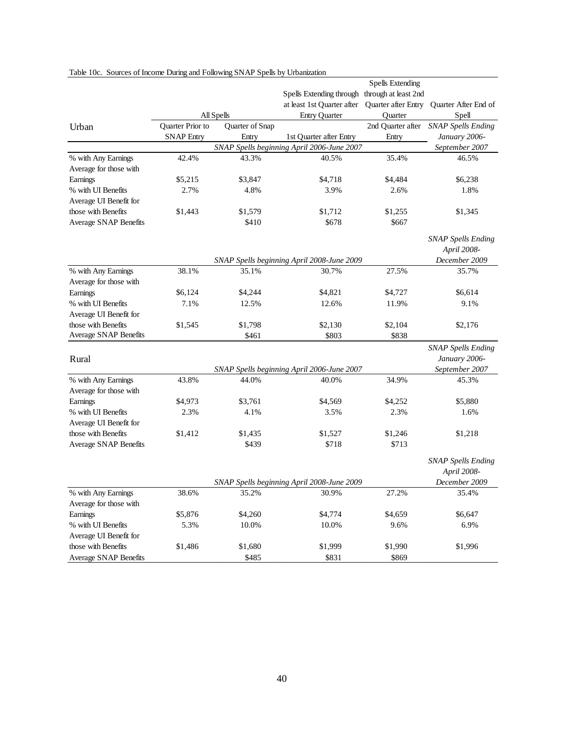|                              |                   |                 |                                                | <b>Spells Extending</b> |                                      |
|------------------------------|-------------------|-----------------|------------------------------------------------|-------------------------|--------------------------------------|
|                              |                   |                 | Spells Extending through through at least 2nd  |                         |                                      |
|                              |                   |                 | at least 1st Quarter after Quarter after Entry |                         | Quarter After End of                 |
|                              |                   | All Spells      | <b>Entry Quarter</b>                           | Quarter                 | Spell                                |
| Urban                        | Quarter Prior to  | Quarter of Snap |                                                |                         | 2nd Quarter after SNAP Spells Ending |
|                              | <b>SNAP Entry</b> | Entry           | 1st Quarter after Entry                        | Entry                   | January 2006-                        |
|                              |                   |                 | SNAP Spells beginning April 2006-June 2007     |                         | September 2007                       |
| % with Any Earnings          | 42.4%             | 43.3%           | 40.5%                                          | 35.4%                   | 46.5%                                |
| Average for those with       |                   |                 |                                                |                         |                                      |
| Earnings                     | \$5,215           | \$3,847         | \$4,718                                        | \$4,484                 | \$6,238                              |
| % with UI Benefits           | 2.7%              | 4.8%            | 3.9%                                           | 2.6%                    | 1.8%                                 |
| Average UI Benefit for       |                   |                 |                                                |                         |                                      |
| those with Benefits          | \$1,443           | \$1,579         | \$1,712                                        | \$1,255                 | \$1,345                              |
| Average SNAP Benefits        |                   | \$410           | \$678                                          | \$667                   |                                      |
|                              |                   |                 |                                                |                         |                                      |
|                              |                   |                 |                                                |                         | <b>SNAP Spells Ending</b>            |
|                              |                   |                 |                                                |                         | April 2008-                          |
|                              |                   |                 | SNAP Spells beginning April 2008-June 2009     |                         | December 2009                        |
| % with Any Earnings          | 38.1%             | 35.1%           | 30.7%                                          | 27.5%                   | 35.7%                                |
| Average for those with       |                   |                 |                                                |                         |                                      |
| Earnings                     | \$6,124           | \$4,244         | \$4,821                                        | \$4,727                 | \$6,614                              |
| % with UI Benefits           | 7.1%              | 12.5%           | 12.6%                                          | 11.9%                   | 9.1%                                 |
| Average UI Benefit for       |                   |                 |                                                |                         |                                      |
| those with Benefits          | \$1,545           | \$1,798         | \$2,130                                        | \$2,104                 | \$2,176                              |
| <b>Average SNAP Benefits</b> |                   | \$461           | \$803                                          | \$838                   |                                      |
|                              |                   |                 |                                                |                         | <b>SNAP Spells Ending</b>            |
| Rural                        |                   |                 |                                                |                         | January 2006-                        |
|                              |                   |                 | SNAP Spells beginning April 2006-June 2007     |                         | September 2007                       |
| % with Any Earnings          | 43.8%             | 44.0%           | 40.0%                                          | 34.9%                   | 45.3%                                |
| Average for those with       |                   |                 |                                                |                         |                                      |
| Earnings                     | \$4,973           | \$3,761         | \$4,569                                        | \$4,252                 | \$5,880                              |
| % with UI Benefits           | 2.3%              | 4.1%            | 3.5%                                           | 2.3%                    | 1.6%                                 |
| Average UI Benefit for       |                   |                 |                                                |                         |                                      |
| those with Benefits          | \$1,412           | \$1,435         | \$1,527                                        | \$1,246                 | \$1,218                              |
| <b>Average SNAP Benefits</b> |                   | \$439           | \$718                                          | \$713                   |                                      |
|                              |                   |                 |                                                |                         |                                      |
|                              |                   |                 |                                                |                         | <b>SNAP Spells Ending</b>            |
|                              |                   |                 |                                                |                         | April 2008-                          |
|                              |                   |                 | SNAP Spells beginning April 2008-June 2009     |                         | December 2009                        |
| % with Any Earnings          | 38.6%             | 35.2%           | 30.9%                                          | 27.2%                   | 35.4%                                |
| Average for those with       |                   |                 |                                                |                         |                                      |
| Earnings                     | \$5,876           | \$4,260         | \$4,774                                        | \$4,659                 | \$6,647                              |
| % with UI Benefits           | 5.3%              | 10.0%           | 10.0%                                          | 9.6%                    | 6.9%                                 |
| Average UI Benefit for       |                   |                 |                                                |                         |                                      |
| those with Benefits          | \$1,486           | \$1,680         | \$1,999                                        | \$1,990                 | \$1,996                              |
| <b>Average SNAP Benefits</b> |                   | \$485           | \$831                                          | \$869                   |                                      |

#### Table 10c. Sources of Income During and Following SNAP Spells by Urbanization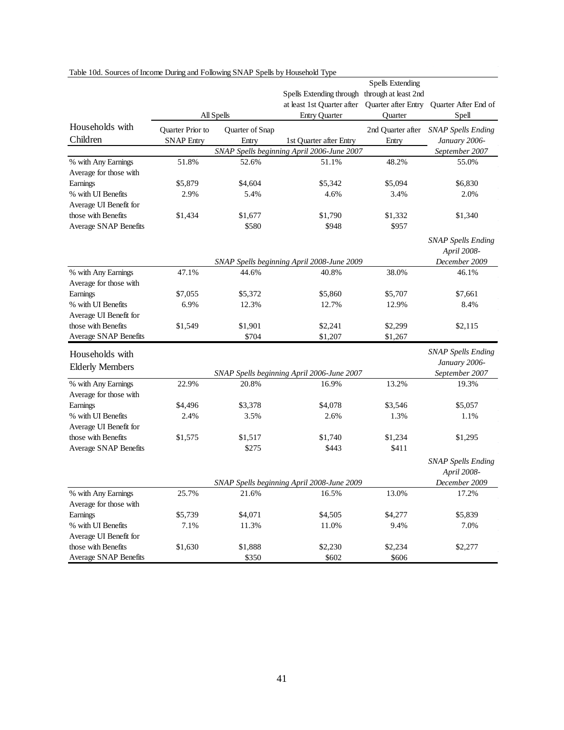|                        |                                            |               | Spells Extending through through at least 2nd       | <b>Spells Extending</b> |                           |  |  |
|------------------------|--------------------------------------------|---------------|-----------------------------------------------------|-------------------------|---------------------------|--|--|
|                        |                                            |               | at least 1st Quarter after                          | Quarter after Entry     | Quarter After End of      |  |  |
|                        | All Spells                                 |               | <b>Entry Quarter</b>                                | <b>Ouarter</b>          | Spell                     |  |  |
| Households with        | Quarter Prior to<br>Quarter of Snap        |               |                                                     | 2nd Quarter after       | <b>SNAP Spells Ending</b> |  |  |
| Children               | <b>SNAP Entry</b>                          | Entry         | 1st Quarter after Entry                             | Entry                   | January 2006-             |  |  |
|                        |                                            |               | SNAP Spells beginning April 2006-June 2007          |                         | September 2007            |  |  |
| % with Any Earnings    | 51.8%                                      | 52.6%         | 51.1%                                               | 48.2%                   | 55.0%                     |  |  |
| Average for those with |                                            |               |                                                     |                         |                           |  |  |
| Earnings               | \$5,879                                    | \$4,604       | \$5,342                                             | \$5,094                 | \$6,830                   |  |  |
| % with UI Benefits     | 2.9%                                       | 5.4%          | 4.6%                                                | 3.4%                    | 2.0%                      |  |  |
| Average UI Benefit for |                                            |               |                                                     |                         |                           |  |  |
| those with Benefits    | \$1,434                                    | \$1,677       | \$1,790                                             | \$1,332                 | \$1,340                   |  |  |
| Average SNAP Benefits  |                                            | \$580         | \$948                                               | \$957                   |                           |  |  |
|                        |                                            |               |                                                     |                         | <b>SNAP Spells Ending</b> |  |  |
|                        |                                            |               |                                                     |                         | April 2008-               |  |  |
|                        | SNAP Spells beginning April 2008-June 2009 |               |                                                     |                         |                           |  |  |
| % with Any Earnings    | 47.1%                                      | 44.6%         | 40.8%                                               | 38.0%                   | December 2009<br>46.1%    |  |  |
| Average for those with |                                            |               |                                                     |                         |                           |  |  |
| Earnings               | \$7,055                                    | \$5,372       | \$5,860                                             | \$5,707                 | \$7,661                   |  |  |
| % with UI Benefits     | 6.9%                                       | 12.3%         | 12.7%                                               | 12.9%                   | 8.4%                      |  |  |
| Average UI Benefit for |                                            |               |                                                     |                         |                           |  |  |
| those with Benefits    | \$1,549                                    | \$1,901       | \$2,241                                             | \$2,299                 | \$2,115                   |  |  |
| Average SNAP Benefits  |                                            | \$704         | \$1,207                                             | \$1,267                 |                           |  |  |
|                        |                                            |               |                                                     |                         | <b>SNAP Spells Ending</b> |  |  |
| Households with        |                                            |               |                                                     |                         | January 2006-             |  |  |
| <b>Elderly Members</b> |                                            |               | SNAP Spells beginning April 2006-June 2007          |                         | September 2007            |  |  |
| % with Any Earnings    | 22.9%                                      | 20.8%         | 16.9%                                               | 13.2%                   | 19.3%                     |  |  |
| Average for those with |                                            |               |                                                     |                         |                           |  |  |
| Earnings               | \$4,496                                    | \$3,378       | \$4,078                                             | \$3,546                 | \$5,057                   |  |  |
| % with UI Benefits     | 2.4%                                       | 3.5%          | 2.6%                                                | 1.3%                    | 1.1%                      |  |  |
| Average UI Benefit for |                                            |               |                                                     |                         |                           |  |  |
| those with Benefits    | \$1,575                                    | \$1,517       | \$1,740                                             | \$1,234                 | \$1,295                   |  |  |
| Average SNAP Benefits  |                                            | \$275         | \$443                                               | \$411                   |                           |  |  |
|                        |                                            |               |                                                     |                         | <b>SNAP Spells Ending</b> |  |  |
|                        |                                            |               |                                                     |                         | April 2008-               |  |  |
|                        |                                            | December 2009 |                                                     |                         |                           |  |  |
| % with Any Earnings    | 25.7%                                      | 21.6%         | SNAP Spells beginning April 2008-June 2009<br>16.5% | 13.0%                   | 17.2%                     |  |  |
| Average for those with |                                            |               |                                                     |                         |                           |  |  |
| Earnings               | \$5,739                                    | \$4,071       | \$4,505                                             | \$4,277                 | \$5,839                   |  |  |
| % with UI Benefits     | 7.1%                                       | 11.3%         | 11.0%                                               | 9.4%                    | 7.0%                      |  |  |
| Average UI Benefit for |                                            |               |                                                     |                         |                           |  |  |
| those with Benefits    | \$1,630                                    | \$1,888       | \$2,230                                             | \$2,234                 | \$2,277                   |  |  |
| Average SNAP Benefits  |                                            | \$350         | \$602                                               | \$606                   |                           |  |  |

### Table 10d. Sources of Income During and Following SNAP Spells by Household Type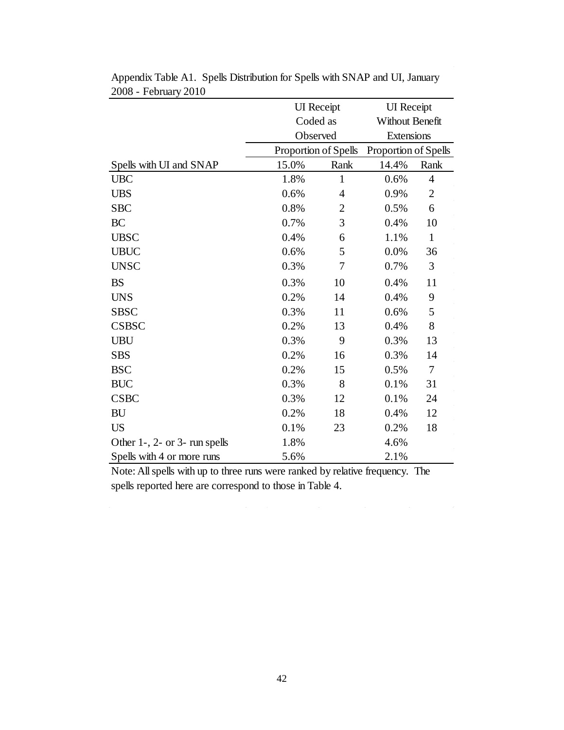|                               | <b>UI</b> Receipt |                      | <b>UI</b> Receipt      |                      |  |
|-------------------------------|-------------------|----------------------|------------------------|----------------------|--|
|                               | Coded as          |                      | <b>Without Benefit</b> |                      |  |
|                               |                   | Observed             |                        | Extensions           |  |
|                               |                   | Proportion of Spells |                        | Proportion of Spells |  |
| Spells with UI and SNAP       | 15.0%             | Rank                 | 14.4%                  | Rank                 |  |
| <b>UBC</b>                    | 1.8%              | $\mathbf{1}$         | 0.6%                   | 4                    |  |
| <b>UBS</b>                    | 0.6%              | $\overline{4}$       | 0.9%                   | $\overline{2}$       |  |
| <b>SBC</b>                    | 0.8%              | $\overline{2}$       | 0.5%                   | 6                    |  |
| <b>BC</b>                     | 0.7%              | 3                    | 0.4%                   | 10                   |  |
| <b>UBSC</b>                   | 0.4%              | 6                    | 1.1%                   | $\mathbf{1}$         |  |
| <b>UBUC</b>                   | 0.6%              | 5                    | 0.0%                   | 36                   |  |
| <b>UNSC</b>                   | 0.3%              | 7                    | 0.7%                   | $\mathfrak{Z}$       |  |
| <b>BS</b>                     | 0.3%              | 10                   | 0.4%                   | 11                   |  |
| <b>UNS</b>                    | 0.2%              | 14                   | 0.4%                   | 9                    |  |
| <b>SBSC</b>                   | 0.3%              | 11                   | 0.6%                   | 5                    |  |
| <b>CSBSC</b>                  | 0.2%              | 13                   | 0.4%                   | 8                    |  |
| <b>UBU</b>                    | 0.3%              | 9                    | 0.3%                   | 13                   |  |
| <b>SBS</b>                    | 0.2%              | 16                   | 0.3%                   | 14                   |  |
| <b>BSC</b>                    | 0.2%              | 15                   | 0.5%                   | 7                    |  |
| <b>BUC</b>                    | 0.3%              | 8                    | 0.1%                   | 31                   |  |
| <b>CSBC</b>                   | 0.3%              | 12                   | 0.1%                   | 24                   |  |
| <b>BU</b>                     | 0.2%              | 18                   | 0.4%                   | 12                   |  |
| <b>US</b>                     | 0.1%              | 23                   | 0.2%                   | 18                   |  |
| Other 1-, 2- or 3- run spells | 1.8%              |                      | 4.6%                   |                      |  |
| Spells with 4 or more runs    | 5.6%              |                      | 2.1%                   |                      |  |

Appendix Table A1. Spells Distribution for Spells with SNAP and UI, January 2008 - February 2010

Note: All spells with up to three runs were ranked by relative frequency. The spells reported here are correspond to those in Table 4.